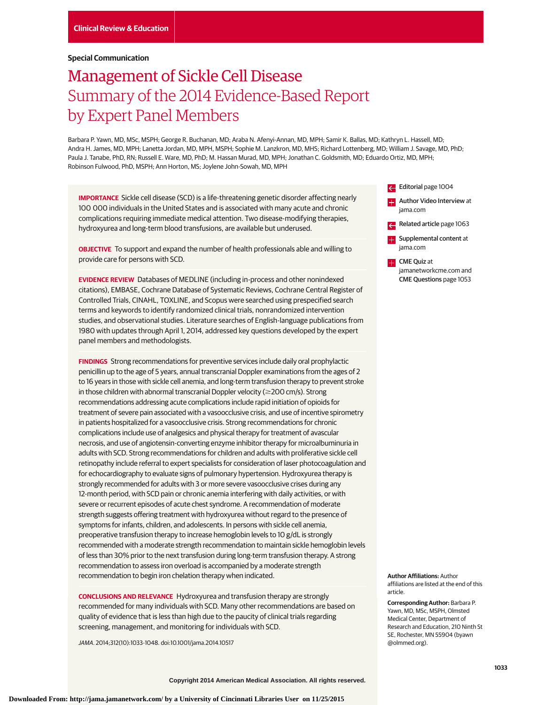# **Special Communication**

# Management of Sickle Cell Disease Summary of the 2014 Evidence-Based Report by Expert Panel Members

Barbara P. Yawn, MD, MSc, MSPH; George R. Buchanan, MD; Araba N. Afenyi-Annan, MD, MPH; Samir K. Ballas, MD; Kathryn L. Hassell, MD; Andra H. James, MD, MPH; Lanetta Jordan, MD, MPH, MSPH; Sophie M. Lanzkron, MD, MHS; Richard Lottenberg, MD; William J. Savage, MD, PhD; Paula J. Tanabe, PhD, RN; Russell E. Ware, MD, PhD; M. Hassan Murad, MD, MPH; Jonathan C. Goldsmith, MD; Eduardo Ortiz, MD, MPH; Robinson Fulwood, PhD, MSPH; Ann Horton, MS; Joylene John-Sowah, MD, MPH

**IMPORTANCE** Sickle cell disease (SCD) is a life-threatening genetic disorder affecting nearly 100 000 individuals in the United States and is associated with many acute and chronic complications requiring immediate medical attention. Two disease-modifying therapies, hydroxyurea and long-term blood transfusions, are available but underused.

**OBJECTIVE** To support and expand the number of health professionals able and willing to provide care for persons with SCD.

**EVIDENCE REVIEW** Databases of MEDLINE (including in-process and other nonindexed citations), EMBASE, Cochrane Database of Systematic Reviews, Cochrane Central Register of Controlled Trials, CINAHL, TOXLINE, and Scopus were searched using prespecified search terms and keywords to identify randomized clinical trials, nonrandomized intervention studies, and observational studies. Literature searches of English-language publications from 1980 with updates through April 1, 2014, addressed key questions developed by the expert panel members and methodologists.

**FINDINGS** Strong recommendations for preventive services include daily oral prophylactic penicillin up to the age of 5 years, annual transcranial Doppler examinations from the ages of 2 to 16 years in those with sickle cell anemia, and long-term transfusion therapy to prevent stroke in those children with abnormal transcranial Doppler velocity ( $\geq$ 200 cm/s). Strong recommendations addressing acute complications include rapid initiation of opioids for treatment of severe pain associated with a vasoocclusive crisis, and use of incentive spirometry in patients hospitalized for a vasoocclusive crisis. Strong recommendations for chronic complications include use of analgesics and physical therapy for treatment of avascular necrosis, and use of angiotensin-converting enzyme inhibitor therapy for microalbuminuria in adults with SCD. Strong recommendations for children and adults with proliferative sickle cell retinopathy include referral to expert specialists for consideration of laser photocoagulation and for echocardiography to evaluate signs of pulmonary hypertension. Hydroxyurea therapy is strongly recommended for adults with 3 or more severe vasoocclusive crises during any 12-month period, with SCD pain or chronic anemia interfering with daily activities, or with severe or recurrent episodes of acute chest syndrome. A recommendation of moderate strength suggests offering treatment with hydroxyurea without regard to the presence of symptoms for infants, children, and adolescents. In persons with sickle cell anemia, preoperative transfusion therapy to increase hemoglobin levels to 10 g/dL is strongly recommended with a moderate strength recommendation to maintain sickle hemoglobin levels of less than 30% prior to the next transfusion during long-term transfusion therapy. A strong recommendation to assess iron overload is accompanied by a moderate strength recommendation to begin iron chelation therapy when indicated.

**CONCLUSIONS AND RELEVANCE** Hydroxyurea and transfusion therapy are strongly recommended for many individuals with SCD. Many other recommendations are based on quality of evidence that is less than high due to the paucity of clinical trials regarding screening, management, and monitoring for individuals with SCD.

JAMA. 2014;312(10):1033-1048. doi:10.1001/jama.2014.10517



**F.** Author Video Interview at jama.com



- **Examplemental content at** jama.com
- CME Quiz at jamanetworkcme.com and CME Questions page 1053

**Author Affiliations:** Author affiliations are listed at the end of this article.

**Corresponding Author:** Barbara P. Yawn, MD, MSc, MSPH, Olmsted Medical Center, Department of Research and Education, 210 Ninth St SE, Rochester, MN 55904 (byawn @olmmed.org).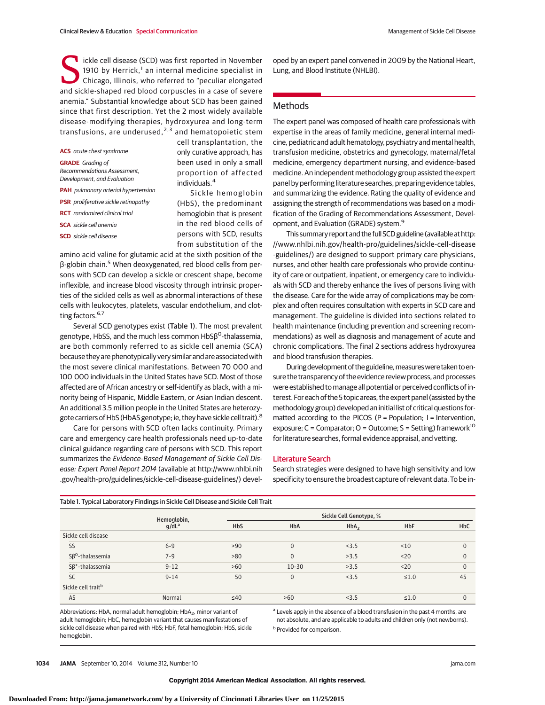Islam in Chief Communist Communist Communist Chief Communist Chief Chief Chief Chief Chief Chief Chief Chief Chief Chief Chief Chief Chief Chief Chief Chief Chief Chief Chief Chief Chief Chief Chief Chief Chief Chief Chief 1910 by Herrick, $^1$  an internal medicine specialist in Chicago, Illinois, who referred to "peculiar elongated and sickle-shaped red blood corpuscles in a case of severe anemia." Substantial knowledge about SCD has been gained since that first description. Yet the 2 most widely available disease-modifying therapies, hydroxyurea and long-term transfusions, are underused,<sup>2,3</sup> and hematopoietic stem

**ACS** acute chest syndrome **GRADE** Grading of Recommendations Assessment, Development, and Evaluation

**PAH** pulmonary arterial hypertension

- **PSR** proliferative sickle retinopathy
- **RCT** randomized clinical trial
- **SCA** sickle cell anemia
- **SCD** sickle cell disease

cell transplantation, the only curative approach, has been used in only a small proportion of affected individuals.<sup>4</sup>

Sickle hemoglobin (HbS), the predominant hemoglobin that is present in the red blood cells of persons with SCD, results from substitution of the

amino acid valine for glutamic acid at the sixth position of the β-globin chain.<sup>5</sup> When deoxygenated, red blood cells from persons with SCD can develop a sickle or crescent shape, become inflexible, and increase blood viscosity through intrinsic properties of the sickled cells as well as abnormal interactions of these cells with leukocytes, platelets, vascular endothelium, and clotting factors.<sup>6,7</sup>

Several SCD genotypes exist (Table 1). The most prevalent genotype, HbSS, and the much less common HbSβ<sup>0</sup>-thalassemia, are both commonly referred to as sickle cell anemia (SCA) because they are phenotypically very similar and are associated with the most severe clinical manifestations. Between 70 000 and 100 000 individuals in the United States have SCD. Most of those affected are of African ancestry or self-identify as black, with a minority being of Hispanic, Middle Eastern, or Asian Indian descent. An additional 3.5 million people in the United States are heterozygote carriers of HbS (HbAS genotype; ie, they have sickle cell trait).<sup>8</sup>

Care for persons with SCD often lacks continuity. Primary care and emergency care health professionals need up-to-date clinical guidance regarding care of persons with SCD. This report summarizes the Evidence-Based Management of Sickle Cell Disease: Expert Panel Report 2014 (available at http://www.nhlbi.nih .gov/health-pro/guidelines/sickle-cell-disease-guidelines/) developed by an expert panel convened in 2009 by the National Heart, Lung, and Blood Institute (NHLBI).

# **Methods**

The expert panel was composed of health care professionals with expertise in the areas of family medicine, general internal medicine, pediatric and adult hematology, psychiatry and mental health, transfusion medicine, obstetrics and gynecology, maternal/fetal medicine, emergency department nursing, and evidence-based medicine. An independent methodology group assisted the expert panel by performing literature searches, preparing evidence tables, and summarizing the evidence. Rating the quality of evidence and assigning the strength of recommendations was based on a modification of the Grading of Recommendations Assessment, Development, and Evaluation (GRADE) system.<sup>9</sup>

This summary report and the full SCD guideline (available at http: //www.nhlbi.nih.gov/health-pro/guidelines/sickle-cell-disease -guidelines/) are designed to support primary care physicians, nurses, and other health care professionals who provide continuity of care or outpatient, inpatient, or emergency care to individuals with SCD and thereby enhance the lives of persons living with the disease. Care for the wide array of complications may be complex and often requires consultation with experts in SCD care and management. The guideline is divided into sections related to health maintenance (including prevention and screening recommendations) as well as diagnosis and management of acute and chronic complications. The final 2 sections address hydroxyurea and blood transfusion therapies.

During development of the guideline, measures were taken to ensure the transparency of the evidence review process, and processes were established to manage all potential or perceived conflicts of interest. For each of the 5 topic areas, the expert panel (assisted by the methodology group) developed an initial list of critical questions formatted according to the PICOS ( $P =$  Population; I = Intervention, exposure;  $C =$  Comparator;  $O =$  Outcome;  $S =$  Setting) framework<sup>10</sup> for literature searches, formal evidence appraisal, and vetting.

## Literature Search

Search strategies were designed to have high sensitivity and low specificity to ensure the broadest capture of relevant data. To be in-

|                                          | Hemoglobin,<br>g/dL <sup>a</sup> | Sickle Cell Genotype, % |            |                  |            |            |
|------------------------------------------|----------------------------------|-------------------------|------------|------------------|------------|------------|
|                                          |                                  | <b>HbS</b>              | <b>HbA</b> | HbA <sub>2</sub> | <b>HbF</b> | <b>HbC</b> |
| Sickle cell disease                      |                                  |                         |            |                  |            |            |
| <b>SS</b>                                | $6 - 9$                          | >90                     | 0          | < 3.5            | ~10        | 0          |
| S <sub>B</sub> <sup>o</sup> -thalassemia | $7 - 9$                          | >80                     | 0          | >3.5             | $20$       | 0          |
| $S\beta^*$ -thalassemia                  | $9 - 12$                         | >60                     | $10 - 30$  | >3.5             | $20$       | $\Omega$   |
| <b>SC</b>                                | $9 - 14$                         | 50                      | 0          | < 3.5            | $\leq 1.0$ | 45         |
| Sickle cell trait <sup>b</sup>           |                                  |                         |            |                  |            |            |
| AS                                       | Normal                           | $\leq 40$               | >60        | < 3.5            | $\leq 1.0$ | $\Omega$   |

Abbreviations: HbA, normal adult hemoglobin; HbA<sub>2</sub>, minor variant of adult hemoglobin; HbC, hemoglobin variant that causes manifestations of sickle cell disease when paired with HbS; HbF, fetal hemoglobin; HbS, sickle hemoglobin.

<sup>a</sup> Levels apply in the absence of a blood transfusion in the past 4 months, are not absolute, and are applicable to adults and children only (not newborns). **b** Provided for comparison.

**1034 JAMA** September 10, 2014 Volume 312, Number 10 **(Reprinted)** and the printed of the printed of the printed of the printed of the printed of the printed of the printed of the printed of the printed of the printed of t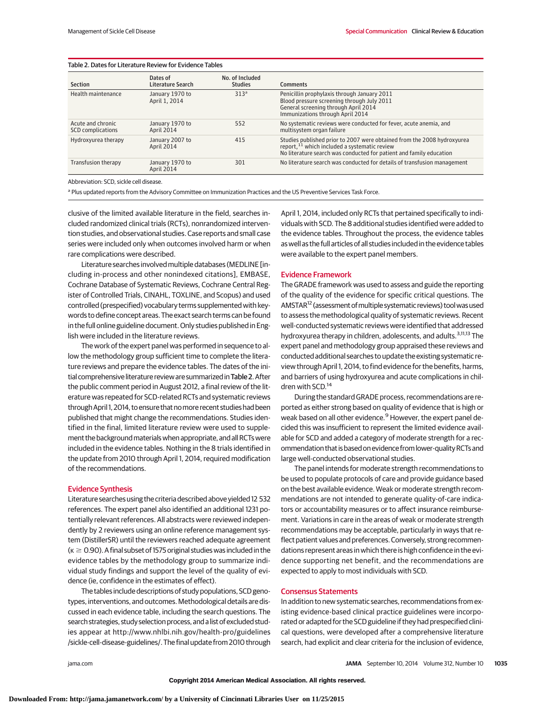| <b>Section</b>                                | Dates of<br><b>Literature Search</b> | No. of Included<br><b>Studies</b> | <b>Comments</b>                                                                                                                                                                                            |
|-----------------------------------------------|--------------------------------------|-----------------------------------|------------------------------------------------------------------------------------------------------------------------------------------------------------------------------------------------------------|
| Health maintenance                            | January 1970 to<br>April 1, 2014     | 313 <sup>a</sup>                  | Penicillin prophylaxis through January 2011<br>Blood pressure screening through July 2011<br>General screening through April 2014<br>Immunizations through April 2014                                      |
| Acute and chronic<br><b>SCD</b> complications | January 1970 to<br>April 2014        | 552                               | No systematic reviews were conducted for fever, acute anemia, and<br>multisystem organ failure                                                                                                             |
| Hydroxyurea therapy                           | January 2007 to<br>April 2014        | 415                               | Studies published prior to 2007 were obtained from the 2008 hydroxyurea<br>report, <sup>11</sup> which included a systematic review<br>No literature search was conducted for patient and family education |
| <b>Transfusion therapy</b>                    | January 1970 to<br>April 2014        | 301                               | No literature search was conducted for details of transfusion management                                                                                                                                   |

Abbreviation: SCD, sickle cell disease.

a Plus updated reports from the Advisory Committee on Immunization Practices and the US Preventive Services Task Force.

clusive of the limited available literature in the field, searches included randomized clinical trials (RCTs), nonrandomized intervention studies, and observational studies. Case reports and small case series were included only when outcomes involved harm or when rare complications were described.

Literature searches involved multiple databases (MEDLINE [including in-process and other nonindexed citations], EMBASE, Cochrane Database of Systematic Reviews, Cochrane Central Register of Controlled Trials, CINAHL, TOXLINE, and Scopus) and used controlled (prespecified) vocabulary terms supplemented with keywords to define concept areas. The exact search terms can be found in the full online guideline document. Only studies published in English were included in the literature reviews.

The work of the expert panel was performed in sequence to allow the methodology group sufficient time to complete the literature reviews and prepare the evidence tables. The dates of the initial comprehensive literature review are summarized in Table 2. After the public comment period in August 2012, a final review of the literature was repeated for SCD-related RCTs and systematic reviews throughApril 1, 2014, toensure that nomore recent studies had been published that might change the recommendations. Studies identified in the final, limited literature review were used to supplement the background materials when appropriate, and all RCTs were included in the evidence tables. Nothing in the 8 trials identified in the update from 2010 through April 1, 2014, required modification of the recommendations.

## Evidence Synthesis

Literature searches using the criteria described above yielded 12 532 references. The expert panel also identified an additional 1231 potentially relevant references. All abstracts were reviewed independently by 2 reviewers using an online reference management system (DistillerSR) until the reviewers reached adequate agreement  $(k \ge 0.90)$ . A final subset of 1575 original studies was included in the evidence tables by the methodology group to summarize individual study findings and support the level of the quality of evidence (ie, confidence in the estimates of effect).

The tables include descriptions of study populations, SCD genotypes, interventions, and outcomes. Methodological details are discussed in each evidence table, including the search questions. The search strategies, study selection process, and a list of excluded studies appear at http://www.nhlbi.nih.gov/health-pro/guidelines /sickle-cell-disease-guidelines/. The final update from 2010 through April 1, 2014, included only RCTs that pertained specifically to individuals with SCD. The 8 additional studies identified were added to the evidence tables. Throughout the process, the evidence tables as well as the full articles of all studies included in the evidence tables were available to the expert panel members.

#### Evidence Framework

The GRADE framework was used to assess and guide the reporting of the quality of the evidence for specific critical questions. The AMSTAR<sup>12</sup> (assessment of multiple systematic reviews) tool was used to assess the methodological quality of systematic reviews. Recent well-conducted systematic reviews were identified that addressed hydroxyurea therapy in children, adolescents, and adults.<sup>3,11,13</sup> The expert panel and methodology group appraised these reviews and conducted additional searches to update the existing systematic review through April 1, 2014, to find evidence for the benefits, harms, and barriers of using hydroxyurea and acute complications in children with SCD.<sup>14</sup>

During the standard GRADE process, recommendations are reported as either strong based on quality of evidence that is high or weak based on all other evidence.<sup>9</sup> However, the expert panel decided this was insufficient to represent the limited evidence available for SCD and added a category of moderate strength for a recommendation that is based onevidence from lower-quality RCTs and large well-conducted observational studies.

The panel intends for moderate strength recommendations to be used to populate protocols of care and provide guidance based on the best available evidence. Weak or moderate strength recommendations are not intended to generate quality-of-care indicators or accountability measures or to affect insurance reimbursement. Variations in care in the areas of weak or moderate strength recommendations may be acceptable, particularly in ways that reflect patient values and preferences. Conversely, strong recommendations represent areas in which there is high confidence in the evidence supporting net benefit, and the recommendations are expected to apply to most individuals with SCD.

#### Consensus Statements

In addition to new systematic searches, recommendations from existing evidence-based clinical practice guidelines were incorporated or adapted for the SCD guideline if they had prespecified clinical questions, were developed after a comprehensive literature search, had explicit and clear criteria for the inclusion of evidence,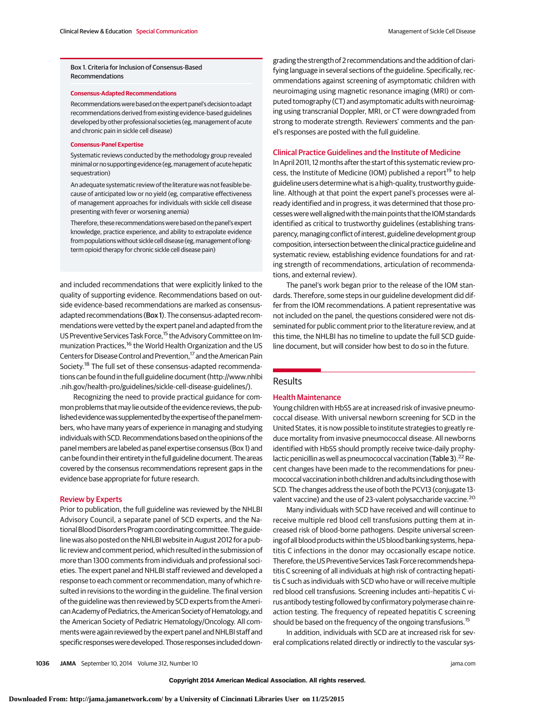Box 1. Criteria for Inclusion of Consensus-Based Recommendations

#### **Consensus-Adapted Recommendations**

Recommendations were based on the expert panel's decision to adapt recommendations derived from existing evidence-based guidelines developed by other professional societies (eg, management of acute and chronic pain in sickle cell disease)

#### **Consensus-Panel Expertise**

Systematic reviews conducted by the methodology group revealed minimal or no supporting evidence (eg, management of acute hepatic sequestration)

An adequate systematic review of the literature was not feasible because of anticipated low or no yield (eg, comparative effectiveness of management approaches for individuals with sickle cell disease presenting with fever or worsening anemia)

Therefore, these recommendations were based on the panel's expert knowledge, practice experience, and ability to extrapolate evidence from populations without sickle cell disease (eg, management of longterm opioid therapy for chronic sickle cell disease pain)

and included recommendations that were explicitly linked to the quality of supporting evidence. Recommendations based on outside evidence-based recommendations are marked as consensusadapted recommendations (Box 1). The consensus-adapted recommendations were vetted by the expert panel and adapted from the US Preventive Services Task Force,<sup>15</sup> the Advisory Committee on Immunization Practices,<sup>16</sup> the World Health Organization and the US Centers for Disease Control and Prevention,<sup>17</sup> and the American Pain Society.<sup>18</sup> The full set of these consensus-adapted recommendations can be found in the full guideline document (http://www.nhlbi .nih.gov/health-pro/guidelines/sickle-cell-disease-guidelines/).

Recognizing the need to provide practical guidance for common problems that may lie outside of the evidence reviews, the published evidence was supplemented by the expertise of the panel members, who have many years of experience in managing and studying individuals with SCD. Recommendations based on the opinions of the panel members are labeled as panel expertise consensus (Box 1) and can be found in their entirety in the full guideline document. The areas covered by the consensus recommendations represent gaps in the evidence base appropriate for future research.

## Review by Experts

Prior to publication, the full guideline was reviewed by the NHLBI Advisory Council, a separate panel of SCD experts, and the National Blood Disorders Program coordinating committee. The guideline was also posted on the NHLBI website in August 2012 for a public review and comment period, which resulted in the submission of more than 1300 comments from individuals and professional societies. The expert panel and NHLBI staff reviewed and developed a response to each comment or recommendation, many of which resulted in revisions to the wording in the guideline. The final version of the guideline was then reviewed by SCD experts from the American Academy of Pediatrics, the American Society of Hematology, and the American Society of Pediatric Hematology/Oncology. All comments were again reviewed by the expert panel and NHLBI staff and specific responses were developed. Those responses included downgrading the strength of 2 recommendations and the addition of clarifying language in several sections of the guideline. Specifically, recommendations against screening of asymptomatic children with neuroimaging using magnetic resonance imaging (MRI) or computed tomography (CT) and asymptomatic adults with neuroimaging using transcranial Doppler, MRI, or CT were downgraded from strong to moderate strength. Reviewers' comments and the panel's responses are posted with the full guideline.

## Clinical Practice Guidelines and the Institute of Medicine

In April 2011, 12 months after the start of this systematic review process, the Institute of Medicine (IOM) published a report<sup>19</sup> to help guideline users determine what is a high-quality, trustworthy guideline. Although at that point the expert panel's processes were already identified and in progress, it was determined that those processes were well aligned with the main points that the IOM standards identified as critical to trustworthy guidelines (establishing transparency,managing conflict of interest, guideline development group composition, intersection between the clinical practice guideline and systematic review, establishing evidence foundations for and rating strength of recommendations, articulation of recommendations, and external review).

The panel's work began prior to the release of the IOM standards. Therefore, some steps in our guideline development did differ from the IOM recommendations. A patient representative was not included on the panel, the questions considered were not disseminated for public comment prior to the literature review, and at this time, the NHLBI has no timeline to update the full SCD guideline document, but will consider how best to do so in the future.

## Results

#### Health Maintenance

Young children with HbSS are at increased risk of invasive pneumococcal disease. With universal newborn screening for SCD in the United States, it is now possible to institute strategies to greatly reduce mortality from invasive pneumococcal disease. All newborns identified with HbSS should promptly receive twice-daily prophylactic penicillin as well as pneumococcal vaccination (Table 3). $^{22}$  Recent changes have been made to the recommendations for pneumococcal vaccination in both children and adults including those with SCD. The changes address the use of both the PCV13 (conjugate 13 valent vaccine) and the use of 23-valent polysaccharide vaccine.<sup>20</sup>

Many individuals with SCD have received and will continue to receive multiple red blood cell transfusions putting them at increased risk of blood-borne pathogens. Despite universal screening of all blood products within the US blood banking systems, hepatitis C infections in the donor may occasionally escape notice. Therefore, the US Preventive Services Task Force recommends hepatitis C screening of all individuals at high risk of contracting hepatitis C such as individuals with SCD who have or will receive multiple red blood cell transfusions. Screening includes anti–hepatitis C virus antibody testing followed by confirmatory polymerase chain reaction testing. The frequency of repeated hepatitis C screening should be based on the frequency of the ongoing transfusions.<sup>15</sup>

In addition, individuals with SCD are at increased risk for several complications related directly or indirectly to the vascular sys-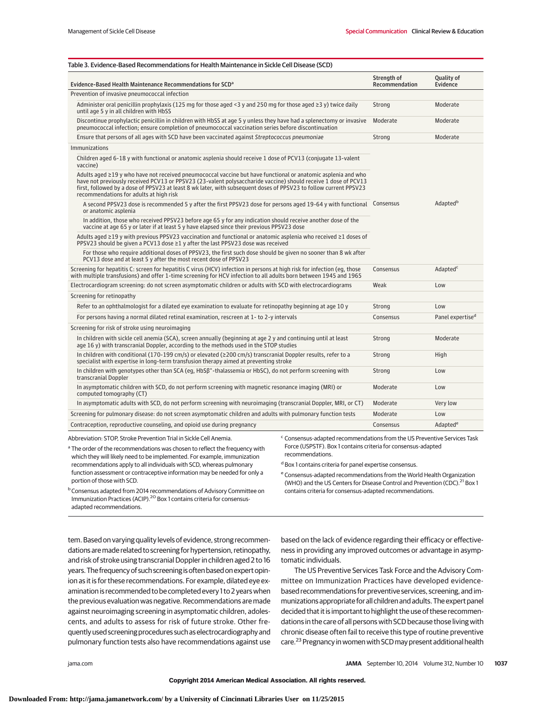| Table 3. Evidence-Based Recommendations for Health Maintenance in Sickle Cell Disease (SCD)                                                                                                                                                                                                                                                                                                     |                               |                              |
|-------------------------------------------------------------------------------------------------------------------------------------------------------------------------------------------------------------------------------------------------------------------------------------------------------------------------------------------------------------------------------------------------|-------------------------------|------------------------------|
| Evidence-Based Health Maintenance Recommendations for SCD <sup>a</sup>                                                                                                                                                                                                                                                                                                                          | Strength of<br>Recommendation | Ouality of<br>Evidence       |
| Prevention of invasive pneumococcal infection                                                                                                                                                                                                                                                                                                                                                   |                               |                              |
| Administer oral penicillin prophylaxis (125 mg for those aged <3 y and 250 mg for those aged $\geq$ 3 y) twice daily<br>until age 5 y in all children with HbSS                                                                                                                                                                                                                                 | Strong                        | Moderate                     |
| Discontinue prophylactic penicillin in children with HbSS at age 5 y unless they have had a splenectomy or invasive<br>pneumococcal infection; ensure completion of pneumococcal vaccination series before discontinuation                                                                                                                                                                      | Moderate                      | Moderate                     |
| Ensure that persons of all ages with SCD have been vaccinated against Streptococcus pneumoniae                                                                                                                                                                                                                                                                                                  | Strong                        | Moderate                     |
| <b>Immunizations</b>                                                                                                                                                                                                                                                                                                                                                                            |                               |                              |
| Children aged 6-18 y with functional or anatomic asplenia should receive 1 dose of PCV13 (conjugate 13-valent<br>vaccine)                                                                                                                                                                                                                                                                       |                               |                              |
| Adults aged ≥19 y who have not received pneumococcal vaccine but have functional or anatomic asplenia and who<br>have not previously received PCV13 or PPSV23 (23-valent polysaccharide vaccine) should receive 1 dose of PCV13<br>first, followed by a dose of PPSV23 at least 8 wk later, with subsequent doses of PPSV23 to follow current PPSV23<br>recommendations for adults at high risk |                               |                              |
| A second PPSV23 dose is recommended 5 y after the first PPSV23 dose for persons aged 19-64 y with functional Consensus<br>or anatomic asplenia                                                                                                                                                                                                                                                  |                               | Adapted <sup>b</sup>         |
| In addition, those who received PPSV23 before age 65 y for any indication should receive another dose of the<br>vaccine at age 65 y or later if at least 5 y have elapsed since their previous PPSV23 dose                                                                                                                                                                                      |                               |                              |
| Adults aged ≥19 y with previous PPSV23 vaccination and functional or anatomic asplenia who received ≥1 doses of<br>PPSV23 should be given a PCV13 dose ≥1 y after the last PPSV23 dose was received                                                                                                                                                                                             |                               |                              |
| For those who require additional doses of PPSV23, the first such dose should be given no sooner than 8 wk after<br>PCV13 dose and at least 5 y after the most recent dose of PPSV23                                                                                                                                                                                                             |                               |                              |
| Screening for hepatitis C: screen for hepatitis C virus (HCV) infection in persons at high risk for infection (eq. those<br>with multiple transfusions) and offer 1-time screening for HCV infection to all adults born between 1945 and 1965                                                                                                                                                   | Consensus                     | Adapted <sup>c</sup>         |
| Electrocardiogram screening: do not screen asymptomatic children or adults with SCD with electrocardiograms                                                                                                                                                                                                                                                                                     | Weak                          | Low                          |
| Screening for retinopathy                                                                                                                                                                                                                                                                                                                                                                       |                               |                              |
| Refer to an ophthalmologist for a dilated eye examination to evaluate for retinopathy beginning at age 10 y                                                                                                                                                                                                                                                                                     | Strong                        | Low                          |
| For persons having a normal dilated retinal examination, rescreen at 1- to 2-y intervals                                                                                                                                                                                                                                                                                                        | Consensus                     | Panel expertise <sup>d</sup> |
| Screening for risk of stroke using neuroimaging                                                                                                                                                                                                                                                                                                                                                 |                               |                              |
| In children with sickle cell anemia (SCA), screen annually (beginning at age 2 y and continuing until at least<br>age 16 y) with transcranial Doppler, according to the methods used in the STOP studies                                                                                                                                                                                        | Strong                        | Moderate                     |
| In children with conditional (170-199 cm/s) or elevated (≥200 cm/s) transcranial Doppler results, refer to a<br>specialist with expertise in long-term transfusion therapy aimed at preventing stroke                                                                                                                                                                                           | Strong                        | High                         |
| In children with genotypes other than SCA (eq. HbSB <sup>+</sup> -thalassemia or HbSC), do not perform screening with<br>transcranial Doppler                                                                                                                                                                                                                                                   | Strong                        | Low                          |
| In asymptomatic children with SCD, do not perform screening with magnetic resonance imaging (MRI) or<br>computed tomography (CT)                                                                                                                                                                                                                                                                | Moderate                      | Low                          |
| In asymptomatic adults with SCD, do not perform screening with neuroimaging (transcranial Doppler, MRI, or CT)                                                                                                                                                                                                                                                                                  | Moderate                      | Very low                     |
| Screening for pulmonary disease: do not screen asymptomatic children and adults with pulmonary function tests                                                                                                                                                                                                                                                                                   | Moderate                      | Low                          |
| Contraception, reproductive counseling, and opioid use during pregnancy                                                                                                                                                                                                                                                                                                                         | Consensus                     | Adapted <sup>e</sup>         |
|                                                                                                                                                                                                                                                                                                                                                                                                 |                               |                              |

Abbreviation: STOP, Stroke Prevention Trial in Sickle Cell Anemia.

<sup>a</sup> The order of the recommendations was chosen to reflect the frequency with which they will likely need to be implemented. For example, immunization recommendations apply to all individuals with SCD, whereas pulmonary function assessment or contraceptive information may be needed for only a portion of those with SCD.

<sup>c</sup> Consensus-adapted recommendations from the US Preventive Services Task Force (USPSTF). Box 1 contains criteria for consensus-adapted recommendations.

<sup>d</sup> Box 1 contains criteria for panel expertise consensus.

<sup>e</sup> Consensus-adapted recommendations from the World Health Organization (WHO) and the US Centers for Disease Control and Prevention (CDC).<sup>21</sup> Box 1 contains criteria for consensus-adapted recommendations.

b Consensus adapted from 2014 recommendations of Advisory Committee on Immunization Practices (ACIP).20 Box 1 contains criteria for consensusadapted recommendations.

tem. Based on varying quality levels of evidence, strong recommendations aremade related to screening for hypertension, retinopathy, and risk of stroke using transcranial Doppler in children aged 2 to 16 years. The frequency of such screening is often based onexpert opinion as it is for these recommendations. For example, dilated eye examination is recommended to be completed every 1 to 2 years when the previous evaluation was negative. Recommendations are made against neuroimaging screening in asymptomatic children, adolescents, and adults to assess for risk of future stroke. Other frequently used screening procedures such as electrocardiography and pulmonary function tests also have recommendations against use

based on the lack of evidence regarding their efficacy or effectiveness in providing any improved outcomes or advantage in asymptomatic individuals.

The US Preventive Services Task Force and the Advisory Committee on Immunization Practices have developed evidencebased recommendations for preventive services, screening, and immunizations appropriate for all children and adults. The expert panel decided that it is important to highlight the use of these recommendations in the care of all persons with SCD because those living with chronic disease often fail to receive this type of routine preventive care.<sup>23</sup> Pregnancy in women with SCD may present additional health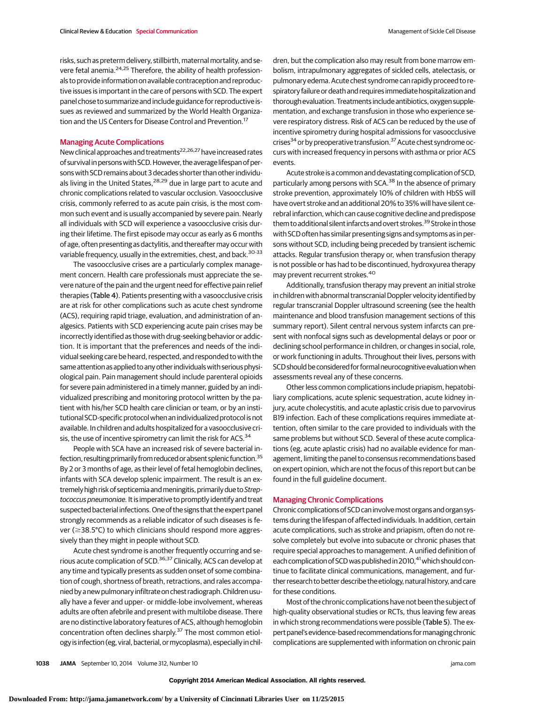risks, such as preterm delivery, stillbirth, maternal mortality, and severe fetal anemia.<sup>24,25</sup> Therefore, the ability of health professionals to provide information on available contraception and reproductive issues is important in the care of persons with SCD. The expert panel chose to summarize and include guidance for reproductive issues as reviewed and summarized by the World Health Organization and the US Centers for Disease Control and Prevention.<sup>17</sup>

#### Managing Acute Complications

New clinical approaches and treatments<sup>22,26,27</sup> have increased rates of survival in persons with SCD. However, the average lifespan of persons with SCD remains about 3 decades shorter than other individuals living in the United States,<sup>28,29</sup> due in large part to acute and chronic complications related to vascular occlusion. Vasoocclusive crisis, commonly referred to as acute pain crisis, is the most common such event and is usually accompanied by severe pain. Nearly all individuals with SCD will experience a vasoocclusive crisis during their lifetime. The first episode may occur as early as 6 months of age, often presenting as dactylitis, and thereafter may occur with variable frequency, usually in the extremities, chest, and back.<sup>30-33</sup>

The vasoocclusive crises are a particularly complex management concern. Health care professionals must appreciate the severe nature of the pain and the urgent need for effective pain relief therapies (Table 4). Patients presenting with a vasoocclusive crisis are at risk for other complications such as acute chest syndrome (ACS), requiring rapid triage, evaluation, and administration of analgesics. Patients with SCD experiencing acute pain crises may be incorrectly identified as those with drug-seeking behavior or addiction. It is important that the preferences and needs of the individual seeking care be heard, respected, and responded to with the same attention as applied to any other individuals with serious physiological pain. Pain management should include parenteral opioids for severe pain administered in a timely manner, guided by an individualized prescribing and monitoring protocol written by the patient with his/her SCD health care clinician or team, or by an institutional SCD-specific protocol when an individualized protocol is not available. In children and adults hospitalized for a vasoocclusive crisis, the use of incentive spirometry can limit the risk for ACS.<sup>34</sup>

People with SCA have an increased risk of severe bacterial infection, resulting primarily from reduced or absent splenic function.<sup>35</sup> By 2 or 3 months of age, as their level of fetal hemoglobin declines, infants with SCA develop splenic impairment. The result is an extremely high risk of septicemia and meningitis, primarily due to Streptococcus pneumoniae. It is imperative to promptly identify and treat suspected bacterial infections. One of the signs that the expert panel strongly recommends as a reliable indicator of such diseases is fever (≥38.5°C) to which clinicians should respond more aggressively than they might in people without SCD.

Acute chest syndrome is another frequently occurring and serious acute complication of SCD.<sup>36,37</sup> Clinically, ACS can develop at any time and typically presents as sudden onset of some combination of cough, shortness of breath, retractions, and rales accompanied by a new pulmonary infiltrate on chest radiograph. Children usually have a fever and upper- or middle-lobe involvement, whereas adults are often afebrile and present with multilobe disease. There are no distinctive laboratory features of ACS, although hemoglobin concentration often declines sharply.<sup>37</sup> The most common etiology is infection (eg, viral, bacterial, or mycoplasma), especially in children, but the complication also may result from bone marrow embolism, intrapulmonary aggregates of sickled cells, atelectasis, or pulmonary edema. Acute chest syndrome can rapidly proceed to respiratory failure or death and requires immediate hospitalization and thoroughevaluation. Treatments include antibiotics, oxygen supplementation, and exchange transfusion in those who experience severe respiratory distress. Risk of ACS can be reduced by the use of incentive spirometry during hospital admissions for vasoocclusive crises<sup>34</sup> or by preoperative transfusion.<sup>37</sup> Acute chest syndrome occurs with increased frequency in persons with asthma or prior ACS events.

Acute stroke is a common and devastating complication of SCD, particularly among persons with SCA.<sup>38</sup> In the absence of primary stroke prevention, approximately 10% of children with HbSS will have overt stroke and an additional 20% to 35% will have silent cerebral infarction, which can cause cognitive decline and predispose them to additional silent infarcts and overt strokes.<sup>39</sup> Stroke in those with SCD often has similar presenting signs and symptoms as in persons without SCD, including being preceded by transient ischemic attacks. Regular transfusion therapy or, when transfusion therapy is not possible or has had to be discontinued, hydroxyurea therapy may prevent recurrent strokes.<sup>40</sup>

Additionally, transfusion therapy may prevent an initial stroke in children with abnormal transcranial Doppler velocity identified by regular transcranial Doppler ultrasound screening (see the health maintenance and blood transfusion management sections of this summary report). Silent central nervous system infarcts can present with nonfocal signs such as developmental delays or poor or declining school performance in children, or changes in social, role, or work functioning in adults. Throughout their lives, persons with SCD should be considered for formal neurocognitive evaluation when assessments reveal any of these concerns.

Other less common complications include priapism, hepatobiliary complications, acute splenic sequestration, acute kidney injury, acute cholecystitis, and acute aplastic crisis due to parvovirus B19 infection. Each of these complications requires immediate attention, often similar to the care provided to individuals with the same problems but without SCD. Several of these acute complications (eg, acute aplastic crisis) had no available evidence for management, limiting the panel to consensus recommendations based on expert opinion, which are not the focus of this report but can be found in the full guideline document.

#### Managing Chronic Complications

Chronic complications of SCD can involve most organs and organ systems during the lifespan of affected individuals. In addition, certain acute complications, such as stroke and priapism, often do not resolve completely but evolve into subacute or chronic phases that require special approaches to management. A unified definition of each complication of SCD was published in 2010,<sup>41</sup> which should continue to facilitate clinical communications, management, and further research to better describe theetiology, natural history, and care for these conditions.

Most of the chronic complications have not been the subject of high-quality observational studies or RCTs, thus leaving few areas in which strong recommendations were possible (Table 5). The expert panel's evidence-based recommendations for managing chronic complications are supplemented with information on chronic pain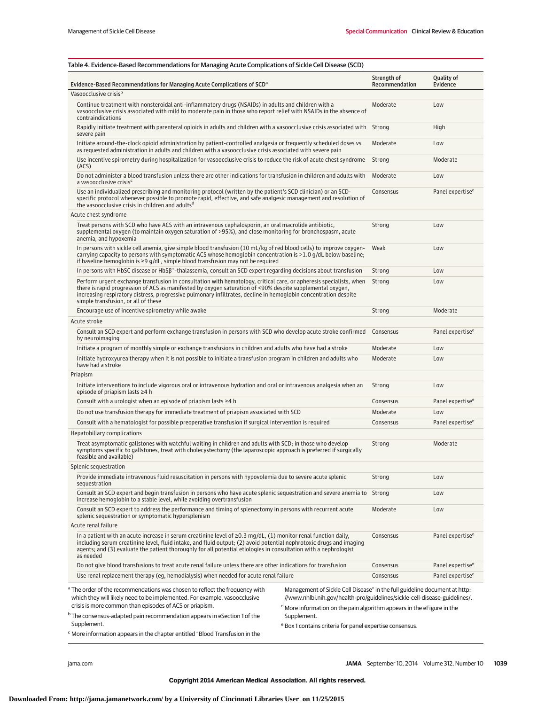| Table 4. Evidence-Based Recommendations for Managing Acute Complications of Sickle Cell Disease (SCD)                                                                                                                                                                                                                                                                                     |                                                                                                                                                                                                                                               |                               |                              |
|-------------------------------------------------------------------------------------------------------------------------------------------------------------------------------------------------------------------------------------------------------------------------------------------------------------------------------------------------------------------------------------------|-----------------------------------------------------------------------------------------------------------------------------------------------------------------------------------------------------------------------------------------------|-------------------------------|------------------------------|
| Evidence-Based Recommendations for Managing Acute Complications of SCD <sup>a</sup>                                                                                                                                                                                                                                                                                                       |                                                                                                                                                                                                                                               | Strength of<br>Recommendation | Quality of<br>Evidence       |
| Vasoocclusive crisis <sup>b</sup>                                                                                                                                                                                                                                                                                                                                                         |                                                                                                                                                                                                                                               |                               |                              |
| Continue treatment with nonsteroidal anti-inflammatory drugs (NSAIDs) in adults and children with a<br>vasoocclusive crisis associated with mild to moderate pain in those who report relief with NSAIDs in the absence of<br>contraindications                                                                                                                                           |                                                                                                                                                                                                                                               | Moderate                      | Low                          |
| Rapidly initiate treatment with parenteral opioids in adults and children with a vasoocclusive crisis associated with<br>severe pain                                                                                                                                                                                                                                                      |                                                                                                                                                                                                                                               | Strong                        | High                         |
| Initiate around-the-clock opioid administration by patient-controlled analgesia or frequently scheduled doses vs<br>as requested administration in adults and children with a vasoocclusive crisis associated with severe pain                                                                                                                                                            |                                                                                                                                                                                                                                               | Moderate                      | Low                          |
| Use incentive spirometry during hospitalization for vasoocclusive crisis to reduce the risk of acute chest syndrome<br>(ACS)                                                                                                                                                                                                                                                              |                                                                                                                                                                                                                                               | Strong                        | Moderate                     |
| Do not administer a blood transfusion unless there are other indications for transfusion in children and adults with<br>a vasoocclusive crisis <sup>c</sup>                                                                                                                                                                                                                               |                                                                                                                                                                                                                                               | Moderate                      | Low                          |
| Use an individualized prescribing and monitoring protocol (written by the patient's SCD clinician) or an SCD-<br>specific protocol whenever possible to promote rapid, effective, and safe analgesic management and resolution of<br>the vasoocclusive crisis in children and adults <sup>d</sup>                                                                                         |                                                                                                                                                                                                                                               | Consensus                     | Panel expertise <sup>e</sup> |
| Acute chest syndrome                                                                                                                                                                                                                                                                                                                                                                      |                                                                                                                                                                                                                                               |                               |                              |
| Treat persons with SCD who have ACS with an intravenous cephalosporin, an oral macrolide antibiotic,<br>supplemental oxygen (to maintain oxygen saturation of >95%), and close monitoring for bronchospasm, acute<br>anemia, and hypoxemia                                                                                                                                                |                                                                                                                                                                                                                                               | Strong                        | Low                          |
| In persons with sickle cell anemia, give simple blood transfusion (10 mL/kg of red blood cells) to improve oxygen-<br>carrying capacity to persons with symptomatic ACS whose hemoglobin concentration is >1.0 g/dL below baseline;<br>if baseline hemoglobin is $\geq$ 9 g/dL, simple blood transfusion may not be required                                                              |                                                                                                                                                                                                                                               | Weak                          | Low                          |
| In persons with HbSC disease or HbSß <sup>+</sup> -thalassemia, consult an SCD expert regarding decisions about transfusion                                                                                                                                                                                                                                                               |                                                                                                                                                                                                                                               | Strong                        | Low                          |
| Perform urgent exchange transfusion in consultation with hematology, critical care, or apheresis specialists, when<br>there is rapid progression of ACS as manifested by oxygen saturation of <90% despite supplemental oxygen,<br>increasing respiratory distress, progressive pulmonary infiltrates, decline in hemoglobin concentration despite<br>simple transfusion, or all of these |                                                                                                                                                                                                                                               | Strong                        | Low                          |
| Encourage use of incentive spirometry while awake                                                                                                                                                                                                                                                                                                                                         |                                                                                                                                                                                                                                               | Strong                        | Moderate                     |
| Acute stroke                                                                                                                                                                                                                                                                                                                                                                              |                                                                                                                                                                                                                                               |                               |                              |
| Consult an SCD expert and perform exchange transfusion in persons with SCD who develop acute stroke confirmed<br>by neuroimaging                                                                                                                                                                                                                                                          |                                                                                                                                                                                                                                               | Consensus                     | Panel expertise <sup>e</sup> |
| Initiate a program of monthly simple or exchange transfusions in children and adults who have had a stroke                                                                                                                                                                                                                                                                                |                                                                                                                                                                                                                                               | Moderate                      | Low                          |
| Initiate hydroxyurea therapy when it is not possible to initiate a transfusion program in children and adults who<br>have had a stroke                                                                                                                                                                                                                                                    |                                                                                                                                                                                                                                               | Moderate                      | Low                          |
| Priapism                                                                                                                                                                                                                                                                                                                                                                                  |                                                                                                                                                                                                                                               |                               |                              |
| Initiate interventions to include vigorous oral or intravenous hydration and oral or intravenous analgesia when an<br>episode of priapism lasts ≥4 h                                                                                                                                                                                                                                      |                                                                                                                                                                                                                                               | Strong                        | Low                          |
| Consult with a urologist when an episode of priapism lasts $\geq 4$ h                                                                                                                                                                                                                                                                                                                     |                                                                                                                                                                                                                                               | Consensus                     | Panel expertise <sup>e</sup> |
| Do not use transfusion therapy for immediate treatment of priapism associated with SCD                                                                                                                                                                                                                                                                                                    |                                                                                                                                                                                                                                               | Moderate                      | Low                          |
| Consult with a hematologist for possible preoperative transfusion if surgical intervention is required                                                                                                                                                                                                                                                                                    |                                                                                                                                                                                                                                               | Consensus                     | Panel expertise <sup>e</sup> |
| Hepatobiliary complications                                                                                                                                                                                                                                                                                                                                                               |                                                                                                                                                                                                                                               |                               |                              |
| Treat asymptomatic gallstones with watchful waiting in children and adults with SCD; in those who develop<br>symptoms specific to gallstones, treat with cholecystectomy (the laparoscopic approach is preferred if surgically<br>feasible and available)                                                                                                                                 |                                                                                                                                                                                                                                               | Strong                        | Moderate                     |
| Splenic sequestration                                                                                                                                                                                                                                                                                                                                                                     |                                                                                                                                                                                                                                               |                               |                              |
| Provide immediate intravenous fluid resuscitation in persons with hypovolemia due to severe acute splenic<br>sequestration                                                                                                                                                                                                                                                                |                                                                                                                                                                                                                                               | Strong                        | Low                          |
| Consult an SCD expert and begin transfusion in persons who have acute splenic sequestration and severe anemia to<br>increase hemoglobin to a stable level, while avoiding overtransfusion                                                                                                                                                                                                 |                                                                                                                                                                                                                                               | Strong                        | Low                          |
| Consult an SCD expert to address the performance and timing of splenectomy in persons with recurrent acute<br>splenic sequestration or symptomatic hypersplenism                                                                                                                                                                                                                          |                                                                                                                                                                                                                                               | Moderate                      | Low                          |
| Acute renal failure                                                                                                                                                                                                                                                                                                                                                                       |                                                                                                                                                                                                                                               |                               |                              |
| In a patient with an acute increase in serum creatinine level of $\geq$ 0.3 mg/dL, (1) monitor renal function daily,<br>including serum creatinine level, fluid intake, and fluid output; (2) avoid potential nephrotoxic drugs and imaging<br>agents; and (3) evaluate the patient thoroughly for all potential etiologies in consultation with a nephrologist<br>as needed              |                                                                                                                                                                                                                                               | Consensus                     | Panel expertise <sup>e</sup> |
| Do not give blood transfusions to treat acute renal failure unless there are other indications for transfusion                                                                                                                                                                                                                                                                            |                                                                                                                                                                                                                                               | Consensus                     | Panel expertise <sup>e</sup> |
| Use renal replacement therapy (eg, hemodialysis) when needed for acute renal failure                                                                                                                                                                                                                                                                                                      |                                                                                                                                                                                                                                               | Consensus                     | Panel expertise <sup>e</sup> |
| <sup>a</sup> The order of the recommendations was chosen to reflect the frequency with<br>which they will likely need to be implemented. For example, vasoocclusive<br>crisis is more common than episodes of ACS or priapism.                                                                                                                                                            | Management of Sickle Cell Disease" in the full guideline document at http:<br>//www.nhlbi.nih.gov/health-pro/guidelines/sickle-cell-disease-guidelines/.<br><sup>d</sup> More information on the pain algorithm appears in the eFigure in the |                               |                              |
| <sup>b</sup> The consensus-adapted pain recommendation appears in eSection 1 of the<br>Supplement.                                                                                                                                                                                                                                                                                        | Supplement.<br>e Box 1 contains criteria for panel expertise consensus.                                                                                                                                                                       |                               |                              |
| <sup>c</sup> More information appears in the chapter entitled "Blood Transfusion in the                                                                                                                                                                                                                                                                                                   |                                                                                                                                                                                                                                               |                               |                              |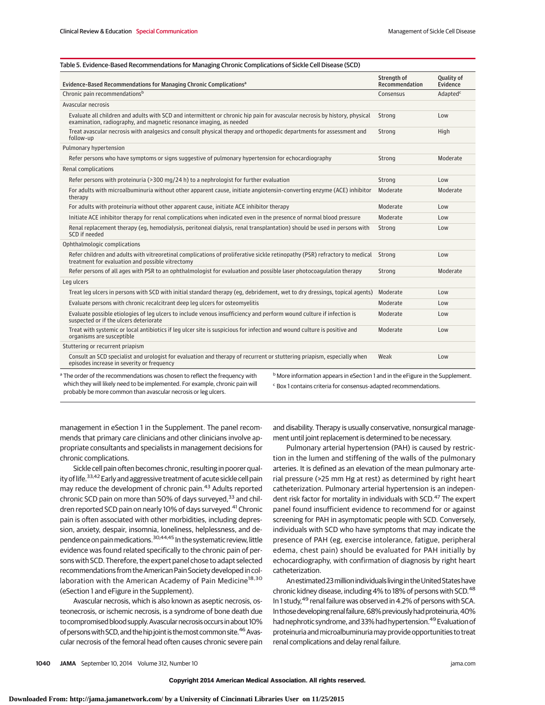| Table 5. Evidence-Based Recommendations for Managing Chronic Complications of Sickle Cell Disease (SCD)                                                                                           |                               |                        |  |  |
|---------------------------------------------------------------------------------------------------------------------------------------------------------------------------------------------------|-------------------------------|------------------------|--|--|
| Evidence-Based Recommendations for Managing Chronic Complications <sup>a</sup>                                                                                                                    | Strength of<br>Recommendation | Quality of<br>Evidence |  |  |
| Chronic pain recommendations <sup>b</sup>                                                                                                                                                         | Consensus                     | Adapted <sup>c</sup>   |  |  |
| Avascular necrosis                                                                                                                                                                                |                               |                        |  |  |
| Evaluate all children and adults with SCD and intermittent or chronic hip pain for avascular necrosis by history, physical<br>examination, radiography, and magnetic resonance imaging, as needed | Strong                        | Low                    |  |  |
| Treat avascular necrosis with analgesics and consult physical therapy and orthopedic departments for assessment and<br>follow-up                                                                  | Strong                        | High                   |  |  |
| Pulmonary hypertension                                                                                                                                                                            |                               |                        |  |  |
| Refer persons who have symptoms or signs suggestive of pulmonary hypertension for echocardiography                                                                                                | Strong                        | Moderate               |  |  |
| Renal complications                                                                                                                                                                               |                               |                        |  |  |
| Refer persons with proteinuria ( $>$ 300 mg/24 h) to a nephrologist for further evaluation                                                                                                        | Strong                        | Low                    |  |  |
| For adults with microalbuminuria without other apparent cause, initiate angiotensin-converting enzyme (ACE) inhibitor<br>therapy                                                                  | Moderate                      | Moderate               |  |  |
| For adults with proteinuria without other apparent cause, initiate ACE inhibitor therapy                                                                                                          | Moderate                      | Low                    |  |  |
| Initiate ACE inhibitor therapy for renal complications when indicated even in the presence of normal blood pressure                                                                               | Moderate                      | Low                    |  |  |
| Renal replacement therapy (eq. hemodialysis, peritoneal dialysis, renal transplantation) should be used in persons with<br>SCD if needed                                                          | Strong                        | Low                    |  |  |
| Ophthalmologic complications                                                                                                                                                                      |                               |                        |  |  |
| Refer children and adults with vitreoretinal complications of proliferative sickle retinopathy (PSR) refractory to medical<br>treatment for evaluation and possible vitrectomy                    | Strong                        | Low                    |  |  |
| Refer persons of all ages with PSR to an ophthalmologist for evaluation and possible laser photocoagulation therapy                                                                               | Strong                        | Moderate               |  |  |
| Leg ulcers                                                                                                                                                                                        |                               |                        |  |  |
| Treat leg ulcers in persons with SCD with initial standard therapy (eg, debridement, wet to dry dressings, topical agents)                                                                        | Moderate                      | Low                    |  |  |
| Evaluate persons with chronic recalcitrant deep leg ulcers for osteomyelitis                                                                                                                      | Moderate                      | Low                    |  |  |
| Evaluate possible etiologies of leg ulcers to include venous insufficiency and perform wound culture if infection is<br>suspected or if the ulcers deteriorate                                    | Moderate                      | Low                    |  |  |
| Treat with systemic or local antibiotics if leg ulcer site is suspicious for infection and wound culture is positive and<br>organisms are susceptible                                             | Moderate                      | Low                    |  |  |
| Stuttering or recurrent priapism                                                                                                                                                                  |                               |                        |  |  |
| Consult an SCD specialist and urologist for evaluation and therapy of recurrent or stuttering priapism, especially when<br>episodes increase in severity or frequency                             | Weak                          | Low                    |  |  |
| <sup>a</sup> The order of the recommendations was chosen to reflect the frequency with<br><sup>b</sup> More information appears in eSection 1 and in the eFigure in the Supplement.               |                               |                        |  |  |

which they will likely need to be implemented. For example, chronic pain will probably be more common than avascular necrosis or leg ulcers.

<sup>c</sup> Box 1 contains criteria for consensus-adapted recommendations.

management in eSection 1 in the Supplement. The panel recommends that primary care clinicians and other clinicians involve appropriate consultants and specialists in management decisions for

chronic complications. Sickle cell pain often becomes chronic, resulting in poorer quality of life.<sup>33,42</sup> Early and aggressive treatment of acute sickle cell pain may reduce the development of chronic pain.<sup>43</sup> Adults reported chronic SCD pain on more than 50% of days surveyed,<sup>33</sup> and children reported SCD pain on nearly 10% of days surveyed.<sup>41</sup> Chronic pain is often associated with other morbidities, including depression, anxiety, despair, insomnia, loneliness, helplessness, and dependence on pain medications. <sup>30,44,45</sup> In the systematic review, little evidence was found related specifically to the chronic pain of persons with SCD. Therefore, the expert panel chose to adapt selected recommendations from the American Pain Society developed in collaboration with the American Academy of Pain Medicine<sup>18,30</sup> (eSection 1 and eFigure in the Supplement).

Avascular necrosis, which is also known as aseptic necrosis, osteonecrosis, or ischemic necrosis, is a syndrome of bone death due to compromised blood supply. Avascular necrosis occurs in about 10% of persons with SCD, and the hip joint is the most common site.<sup>46</sup> Avascular necrosis of the femoral head often causes chronic severe pain and disability. Therapy is usually conservative, nonsurgical management until joint replacement is determined to be necessary.

Pulmonary arterial hypertension (PAH) is caused by restriction in the lumen and stiffening of the walls of the pulmonary arteries. It is defined as an elevation of the mean pulmonary arterial pressure (>25 mm Hg at rest) as determined by right heart catheterization. Pulmonary arterial hypertension is an independent risk factor for mortality in individuals with SCD.<sup>47</sup> The expert panel found insufficient evidence to recommend for or against screening for PAH in asymptomatic people with SCD. Conversely, individuals with SCD who have symptoms that may indicate the presence of PAH (eg, exercise intolerance, fatigue, peripheral edema, chest pain) should be evaluated for PAH initially by echocardiography, with confirmation of diagnosis by right heart catheterization.

An estimated 23 million individuals living in the United States have chronic kidney disease, including 4% to 18% of persons with SCD.<sup>48</sup> In 1 study,<sup>49</sup> renal failure was observed in 4.2% of persons with SCA. In those developing renal failure, 68% previously had proteinuria, 40% had nephrotic syndrome, and 33% had hypertension.<sup>49</sup> Evaluation of proteinuria andmicroalbuminuriamay provide opportunities to treat renal complications and delay renal failure.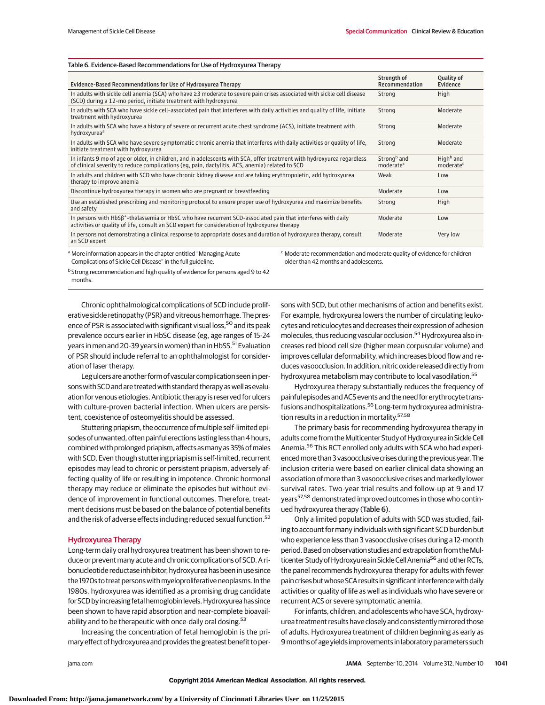#### Table 6. Evidence-Based Recommendations for Use of Hydroxyurea Therapy

| Evidence-Based Recommendations for Use of Hydroxyurea Therapy                                                                                                                                                             | Strength of<br>Recommendation                    | Ouality of<br>Evidence                         |
|---------------------------------------------------------------------------------------------------------------------------------------------------------------------------------------------------------------------------|--------------------------------------------------|------------------------------------------------|
| In adults with sickle cell anemia (SCA) who have ≥3 moderate to severe pain crises associated with sickle cell disease<br>(SCD) during a 12-mo period, initiate treatment with hydroxyurea                                | Strong                                           | High                                           |
| In adults with SCA who have sickle cell-associated pain that interferes with daily activities and quality of life, initiate<br>treatment with hydroxyurea                                                                 | Strong                                           | Moderate                                       |
| In adults with SCA who have a history of severe or recurrent acute chest syndrome (ACS), initiate treatment with<br>hydroxyurea <sup>a</sup>                                                                              | Strong                                           | Moderate                                       |
| In adults with SCA who have severe symptomatic chronic anemia that interferes with daily activities or quality of life,<br>initiate treatment with hydroxyurea                                                            | Strong                                           | Moderate                                       |
| In infants 9 mo of age or older, in children, and in adolescents with SCA, offer treatment with hydroxyurea regardless<br>of clinical severity to reduce complications (eq. pain, dactylitis, ACS, anemia) related to SCD | Strong <sup>b</sup> and<br>moderate <sup>c</sup> | High <sup>b</sup> and<br>moderate <sup>c</sup> |
| In adults and children with SCD who have chronic kidney disease and are taking erythropoietin, add hydroxyurea<br>therapy to improve anemia                                                                               | Weak                                             | Low                                            |
| Discontinue hydroxyurea therapy in women who are pregnant or breastfeeding                                                                                                                                                | Moderate                                         | Low                                            |
| Use an established prescribing and monitoring protocol to ensure proper use of hydroxyurea and maximize benefits<br>and safety                                                                                            | Strong                                           | High                                           |
| In persons with HbSB <sup>+</sup> -thalassemia or HbSC who have recurrent SCD-associated pain that interferes with daily<br>activities or quality of life, consult an SCD expert for consideration of hydroxyurea therapy | Moderate                                         | Low                                            |
| In persons not demonstrating a clinical response to appropriate doses and duration of hydroxyurea therapy, consult<br>an SCD expert                                                                                       | Moderate                                         | Very low                                       |

a More information appears in the chapter entitled "Managing Acute Complications of Sickle Cell Disease" in the full guideline.

<sup>c</sup> Moderate recommendation and moderate quality of evidence for children older than 42 months and adolescents.

<sup>b</sup> Strong recommendation and high quality of evidence for persons aged 9 to 42 months.

Chronic ophthalmological complications of SCD include proliferative sickle retinopathy (PSR) and vitreous hemorrhage. The presence of PSR is associated with significant visual loss,<sup>50</sup> and its peak prevalence occurs earlier in HbSC disease (eg, age ranges of 15-24 years in men and 20-39 years in women) than in HbSS.<sup>51</sup> Evaluation of PSR should include referral to an ophthalmologist for consideration of laser therapy.

Leg ulcers are another form of vascular complication seen in persons with SCD and are treated with standard therapy as well as evaluation for venous etiologies. Antibiotic therapy is reserved for ulcers with culture-proven bacterial infection. When ulcers are persistent, coexistence of osteomyelitis should be assessed.

Stuttering priapism, the occurrence of multiple self-limited episodes of unwanted, often painful erections lasting less than 4 hours, combined with prolonged priapism, affects asmany as 35% ofmales with SCD. Even though stuttering priapism is self-limited, recurrent episodes may lead to chronic or persistent priapism, adversely affecting quality of life or resulting in impotence. Chronic hormonal therapy may reduce or eliminate the episodes but without evidence of improvement in functional outcomes. Therefore, treatment decisions must be based on the balance of potential benefits and the risk of adverse effects including reduced sexual function.<sup>52</sup>

### Hydroxyurea Therapy

Long-term daily oral hydroxyurea treatment has been shown to reduce or prevent many acute and chronic complications of SCD. A ribonucleotide reductase inhibitor, hydroxyurea has been in use since the 1970s to treat persons with myeloproliferative neoplasms. In the 1980s, hydroxyurea was identified as a promising drug candidate for SCD by increasing fetal hemoglobin levels. Hydroxyurea has since been shown to have rapid absorption and near-complete bioavailability and to be therapeutic with once-daily oral dosing.<sup>53</sup>

Increasing the concentration of fetal hemoglobin is the primary effect of hydroxyurea and provides the greatest benefit to persons with SCD, but other mechanisms of action and benefits exist. For example, hydroxyurea lowers the number of circulating leukocytes and reticulocytes and decreases their expression of adhesion molecules, thus reducing vascular occlusion.<sup>54</sup> Hydroxyurea also increases red blood cell size (higher mean corpuscular volume) and improves cellular deformability, which increases blood flow and reduces vasoocclusion. In addition, nitric oxide released directly from hydroxyurea metabolism may contribute to local vasodilation.<sup>55</sup>

Hydroxyurea therapy substantially reduces the frequency of painful episodes and ACS events and the need for erythrocyte transfusions and hospitalizations.<sup>56</sup> Long-term hydroxyurea administration results in a reduction in mortality.<sup>57,58</sup>

The primary basis for recommending hydroxyurea therapy in adults come from the Multicenter Study of Hydroxyurea in Sickle Cell Anemia.<sup>56</sup> This RCT enrolled only adults with SCA who had experiencedmore than 3vasoocclusive crises during the previous year. The inclusion criteria were based on earlier clinical data showing an association of more than 3 vasoocclusive crises and markedly lower survival rates. Two-year trial results and follow-up at 9 and 17 years<sup>57,58</sup> demonstrated improved outcomes in those who continued hydroxyurea therapy (Table 6).

Only a limited population of adults with SCD was studied, failing to account for many individuals with significant SCD burden but who experience less than 3 vasoocclusive crises during a 12-month period. Based on observation studies and extrapolation from the Multicenter Study of Hydroxyurea in Sickle Cell Anemia<sup>56</sup> and other RCTs, the panel recommends hydroxyurea therapy for adults with fewer pain crises but whose SCA results in significant interference with daily activities or quality of life as well as individuals who have severe or recurrent ACS or severe symptomatic anemia.

For infants, children, and adolescents who have SCA, hydroxyurea treatment results have closely and consistently mirrored those of adults. Hydroxyurea treatment of children beginning as early as 9months of age yields improvements in laboratory parameters such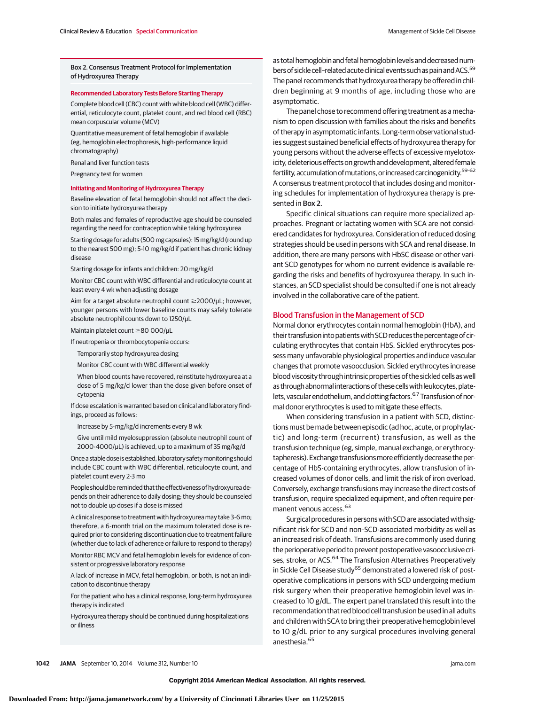Box 2. Consensus Treatment Protocol for Implementation of Hydroxyurea Therapy

#### **Recommended Laboratory Tests Before Starting Therapy**

Complete blood cell (CBC) count with white blood cell (WBC) differential, reticulocyte count, platelet count, and red blood cell (RBC) mean corpuscular volume (MCV)

Quantitative measurement of fetal hemoglobin if available (eg, hemoglobin electrophoresis, high-performance liquid chromatography)

Renal and liver function tests

Pregnancy test for women

#### **Initiating and Monitoring of Hydroxyurea Therapy**

Baseline elevation of fetal hemoglobin should not affect the decision to initiate hydroxyurea therapy

Both males and females of reproductive age should be counseled regarding the need for contraception while taking hydroxyurea

Starting dosage for adults (500 mg capsules): 15 mg/kg/d (round up to the nearest 500 mg); 5-10 mg/kg/d if patient has chronic kidney disease

Starting dosage for infants and children: 20 mg/kg/d

Monitor CBC count with WBC differential and reticulocyte count at least every 4 wk when adjusting dosage

Aim for a target absolute neutrophil count ≥2000/µL; however, younger persons with lower baseline counts may safely tolerate absolute neutrophil counts down to 1250/μL

Maintain platelet count ≥80 000/μL

If neutropenia or thrombocytopenia occurs:

Temporarily stop hydroxyurea dosing

Monitor CBC count with WBC differential weekly

When blood counts have recovered, reinstitute hydroxyurea at a dose of 5 mg/kg/d lower than the dose given before onset of cytopenia

If dose escalation is warranted based on clinical and laboratory findings, proceed as follows:

Increase by 5-mg/kg/d increments every 8 wk

Give until mild myelosuppression (absolute neutrophil count of 2000-4000/μL) is achieved, up to a maximum of 35 mg/kg/d

Once a stable dose is established, laboratory safety monitoring should include CBC count with WBC differential, reticulocyte count, and platelet count every 2-3 mo

People should be reminded that the effectiveness of hydroxyurea depends on their adherence to daily dosing; they should be counseled not to double up doses if a dose is missed

A clinical response to treatment with hydroxyurea may take 3-6 mo; therefore, a 6-month trial on the maximum tolerated dose is required prior to considering discontinuation due to treatment failure (whether due to lack of adherence or failure to respond to therapy)

Monitor RBC MCV and fetal hemoglobin levels for evidence of consistent or progressive laboratory response

A lack of increase in MCV, fetal hemoglobin, or both, is not an indication to discontinue therapy

For the patient who has a clinical response, long-term hydroxyurea therapy is indicated

Hydroxyurea therapy should be continued during hospitalizations or illness

as total hemoglobin and fetal hemoglobin levels and decreased numbers of sickle cell–related acute clinical events such as pain and ACS.<sup>59</sup> The panel recommends that hydroxyurea therapy be offered in children beginning at 9 months of age, including those who are asymptomatic.

The panel chose to recommend offering treatment as a mechanism to open discussion with families about the risks and benefits of therapy in asymptomatic infants. Long-term observational studies suggest sustained beneficial effects of hydroxyurea therapy for young persons without the adverse effects of excessive myelotoxicity, deleterious effects on growth and development, altered female fertility, accumulation of mutations, or increased carcinogenicity.<sup>59-62</sup> A consensus treatment protocol that includes dosing and monitoring schedules for implementation of hydroxyurea therapy is presented in Box 2.

Specific clinical situations can require more specialized approaches. Pregnant or lactating women with SCA are not considered candidates for hydroxyurea. Consideration of reduced dosing strategies should be used in persons with SCA and renal disease. In addition, there are many persons with HbSC disease or other variant SCD genotypes for whom no current evidence is available regarding the risks and benefits of hydroxyurea therapy. In such instances, an SCD specialist should be consulted if one is not already involved in the collaborative care of the patient.

#### Blood Transfusion in the Management of SCD

Normal donor erythrocytes contain normal hemoglobin (HbA), and their transfusion into patientswithSCD reduces the percentage of circulating erythrocytes that contain HbS. Sickled erythrocytes possess many unfavorable physiological properties and induce vascular changes that promote vasoocclusion. Sickled erythrocytes increase blood viscosity through intrinsic properties of the sickled cells as well as through abnormal interactions of these cells with leukocytes, platelets, vascular endothelium, and clotting factors.<sup>6,7</sup> Transfusion of normal donor erythrocytes is used to mitigate these effects.

When considering transfusion in a patient with SCD, distinctions must be made between episodic (ad hoc, acute, or prophylactic) and long-term (recurrent) transfusion, as well as the transfusion technique (eg, simple, manual exchange, or erythrocytapheresis). Exchange transfusionsmoreefficiently decrease the percentage of HbS-containing erythrocytes, allow transfusion of increased volumes of donor cells, and limit the risk of iron overload. Conversely, exchange transfusions may increase the direct costs of transfusion, require specialized equipment, and often require permanent venous access.<sup>63</sup>

Surgical procedures in persons with SCD are associated with significant risk for SCD and non–SCD-associated morbidity as well as an increased risk of death. Transfusions are commonly used during the perioperative period to prevent postoperative vasoocclusive crises, stroke, or ACS.<sup>64</sup> The Transfusion Alternatives Preoperatively in Sickle Cell Disease study<sup>65</sup> demonstrated a lowered risk of postoperative complications in persons with SCD undergoing medium risk surgery when their preoperative hemoglobin level was increased to 10 g/dL. The expert panel translated this result into the recommendation that red blood cell transfusion be used in all adults and children with SCA to bring their preoperative hemoglobin level to 10 g/dL prior to any surgical procedures involving general anesthesia.<sup>65</sup>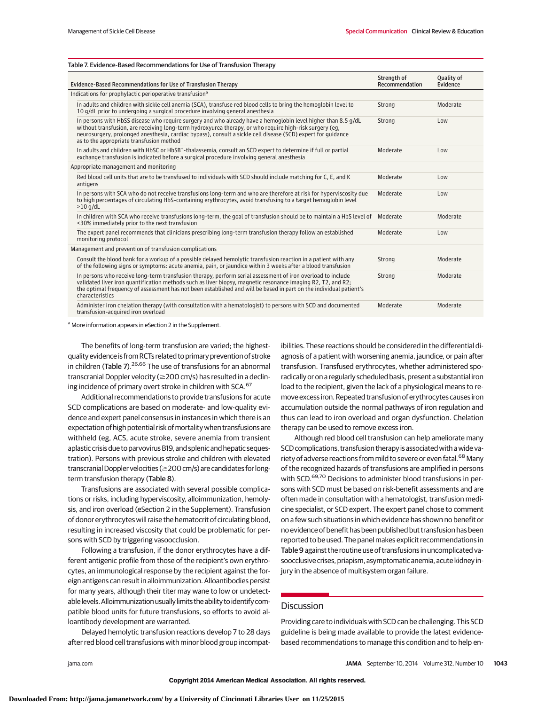| <b>Evidence-Based Recommendations for Use of Transfusion Therapy</b>                                                                                                                                                                                                                                                                                                                 | Strength of<br>Recommendation | <b>Ouality of</b><br>Evidence |
|--------------------------------------------------------------------------------------------------------------------------------------------------------------------------------------------------------------------------------------------------------------------------------------------------------------------------------------------------------------------------------------|-------------------------------|-------------------------------|
| Indications for prophylactic perioperative transfusion <sup>a</sup>                                                                                                                                                                                                                                                                                                                  |                               |                               |
| In adults and children with sickle cell anemia (SCA), transfuse red blood cells to bring the hemoglobin level to<br>10 g/dL prior to undergoing a surgical procedure involving general anesthesia                                                                                                                                                                                    | Strong                        | Moderate                      |
| In persons with HbSS disease who require surgery and who already have a hemoglobin level higher than 8.5 g/dL<br>without transfusion, are receiving long-term hydroxyurea therapy, or who require high-risk surgery (eg,<br>neurosurgery, prolonged anesthesia, cardiac bypass), consult a sickle cell disease (SCD) expert for quidance<br>as to the appropriate transfusion method | Strong                        | Low                           |
| In adults and children with HbSC or HbSB <sup>+</sup> -thalassemia, consult an SCD expert to determine if full or partial<br>exchange transfusion is indicated before a surgical procedure involving general anesthesia                                                                                                                                                              | Moderate                      | Low                           |
| Appropriate management and monitoring                                                                                                                                                                                                                                                                                                                                                |                               |                               |
| Red blood cell units that are to be transfused to individuals with SCD should include matching for C, E, and K<br>antigens                                                                                                                                                                                                                                                           | Moderate                      | Low                           |
| In persons with SCA who do not receive transfusions long-term and who are therefore at risk for hyperviscosity due<br>to high percentages of circulating HbS-containing erythrocytes, avoid transfusing to a target hemoglobin level<br>$>10$ g/dL                                                                                                                                   | Moderate                      | Low                           |
| In children with SCA who receive transfusions long-term, the goal of transfusion should be to maintain a HbS level of<br><30% immediately prior to the next transfusion                                                                                                                                                                                                              | Moderate                      | Moderate                      |
| The expert panel recommends that clinicians prescribing long-term transfusion therapy follow an established<br>monitoring protocol                                                                                                                                                                                                                                                   | Moderate                      | Low                           |
| Management and prevention of transfusion complications                                                                                                                                                                                                                                                                                                                               |                               |                               |
| Consult the blood bank for a workup of a possible delaved hemolytic transfusion reaction in a patient with any<br>of the following signs or symptoms: acute anemia, pain, or jaundice within 3 weeks after a blood transfusion                                                                                                                                                       | Strong                        | Moderate                      |
| In persons who receive long-term transfusion therapy, perform serial assessment of iron overload to include<br>validated liver iron quantification methods such as liver biopsy, magnetic resonance imaging R2, T2, and R2;<br>the optimal frequency of assessment has not been established and will be based in part on the individual patient's<br>characteristics                 | Strong                        | Moderate                      |
| Administer iron chelation therapy (with consultation with a hematologist) to persons with SCD and documented<br>transfusion-acquired iron overload                                                                                                                                                                                                                                   | Moderate                      | Moderate                      |

#### <sup>a</sup> More information appears in eSection 2 in the Supplement.

The benefits of long-term transfusion are varied; the highestquality evidence is from RCTs related to primary prevention of stroke in children (Table 7).<sup>26,66</sup> The use of transfusions for an abnormal transcranial Doppler velocity (≥200 cm/s) has resulted in a declining incidence of primary overt stroke in children with SCA.<sup>67</sup>

Additional recommendations to provide transfusions for acute SCD complications are based on moderate- and low-quality evidence and expert panel consensus in instances in which there is an expectation of high potential risk of mortality when transfusions are withheld (eg, ACS, acute stroke, severe anemia from transient aplastic crisis due to parvovirus B19, and splenic and hepatic sequestration). Persons with previous stroke and children with elevated transcranial Doppler velocities (=200 cm/s) are candidates for longterm transfusion therapy (Table 8).

Transfusions are associated with several possible complications or risks, including hyperviscosity, alloimmunization, hemolysis, and iron overload (eSection 2 in the Supplement). Transfusion of donor erythrocytes will raise the hematocrit of circulating blood, resulting in increased viscosity that could be problematic for persons with SCD by triggering vasoocclusion.

Following a transfusion, if the donor erythrocytes have a different antigenic profile from those of the recipient's own erythrocytes, an immunological response by the recipient against the foreign antigens can result in alloimmunization. Alloantibodies persist for many years, although their titer may wane to low or undetectable levels.Alloimmunization usually limits theability to identify compatible blood units for future transfusions, so efforts to avoid alloantibody development are warranted.

Delayed hemolytic transfusion reactions develop 7 to 28 days after red blood cell transfusions with minor blood group incompatibilities. These reactions should be considered in the differential diagnosis of a patient with worsening anemia, jaundice, or pain after transfusion. Transfused erythrocytes, whether administered sporadically or on a regularly scheduled basis, present a substantial iron load to the recipient, given the lack of a physiological means to remove excess iron. Repeated transfusion of erythrocytes causes iron accumulation outside the normal pathways of iron regulation and thus can lead to iron overload and organ dysfunction. Chelation therapy can be used to remove excess iron.

Although red blood cell transfusion can help ameliorate many SCD complications, transfusion therapy is associated with a wide variety of adverse reactions from mild to severe or even fatal.<sup>68</sup> Many of the recognized hazards of transfusions are amplified in persons with SCD.<sup>69,70</sup> Decisions to administer blood transfusions in persons with SCD must be based on risk-benefit assessments and are often made in consultation with a hematologist, transfusion medicine specialist, or SCD expert. The expert panel chose to comment on a few such situations in which evidence has shown no benefit or no evidence of benefit has been published but transfusion has been reported to be used. The panel makes explicit recommendations in Table 9 against the routine use of transfusions in uncomplicated vasoocclusive crises, priapism, asymptomatic anemia, acute kidney injury in the absence of multisystem organ failure.

# **Discussion**

Providing care to individuals with SCD can be challenging. This SCD guideline is being made available to provide the latest evidencebased recommendations to manage this condition and to help en-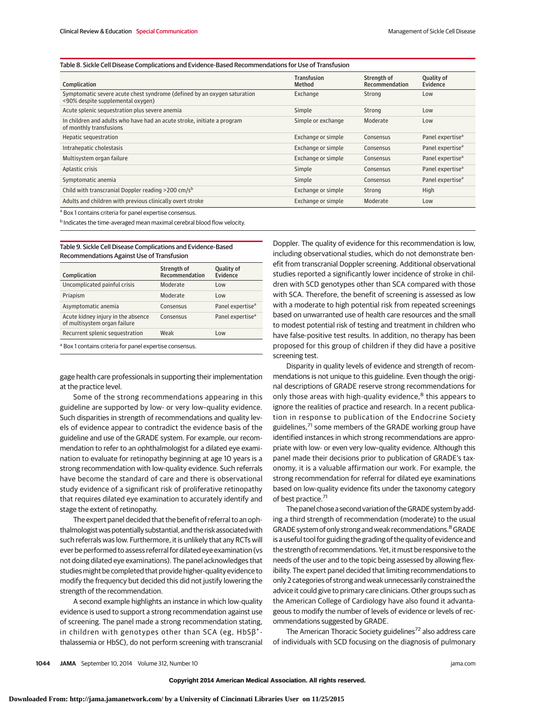| Table 8. Sickle Cell Disease Complications and Evidence-Based Recommendations for Use of Transfusion          |                              |                               |                              |  |
|---------------------------------------------------------------------------------------------------------------|------------------------------|-------------------------------|------------------------------|--|
| Complication                                                                                                  | <b>Transfusion</b><br>Method | Strength of<br>Recommendation | Quality of<br>Evidence       |  |
| Symptomatic severe acute chest syndrome (defined by an oxygen saturation<br><90% despite supplemental oxygen) | Exchange                     | Strong                        | Low                          |  |
| Acute splenic sequestration plus severe anemia                                                                | Simple                       | Strong                        | Low                          |  |
| In children and adults who have had an acute stroke, initiate a program<br>of monthly transfusions            | Simple or exchange           | Moderate                      | Low                          |  |
| Hepatic sequestration                                                                                         | Exchange or simple           | Consensus                     | Panel expertise <sup>a</sup> |  |
| Intrahepatic cholestasis                                                                                      | Exchange or simple           | Consensus                     | Panel expertise <sup>a</sup> |  |
| Multisystem organ failure                                                                                     | Exchange or simple           | Consensus                     | Panel expertise <sup>a</sup> |  |
| Aplastic crisis                                                                                               | Simple                       | Consensus                     | Panel expertise <sup>a</sup> |  |
| Symptomatic anemia                                                                                            | Simple                       | Consensus                     | Panel expertise <sup>a</sup> |  |

Child with transcranial Doppler reading >200 cm/s<sup>b</sup> exchange or simple Strong Strong High Adults and children with previous clinically overt stroke Exchange or simple Moderate Low

Box 1 contains criteria for panel expertise consensus.

**b** Indicates the time-averaged mean maximal cerebral blood flow velocity.

#### Table 9. Sickle Cell Disease Complications and Evidence-Based Recommendations Against Use of Transfusion

| Complication                                                       | Strength of<br>Recommendation | Quality of<br>Evidence       |
|--------------------------------------------------------------------|-------------------------------|------------------------------|
| Uncomplicated painful crisis                                       | Moderate                      | Low                          |
| Priapism                                                           | Moderate                      | Low                          |
| Asymptomatic anemia                                                | Consensus                     | Panel expertise <sup>a</sup> |
| Acute kidney injury in the absence<br>of multisystem organ failure | Consensus                     | Panel expertise <sup>a</sup> |
| Recurrent splenic sequestration                                    | Weak                          | Low                          |

<sup>a</sup> Box 1 contains criteria for panel expertise consensus.

gage health care professionals in supporting their implementation at the practice level.

Some of the strong recommendations appearing in this guideline are supported by low- or very low–quality evidence. Such disparities in strength of recommendations and quality levels of evidence appear to contradict the evidence basis of the guideline and use of the GRADE system. For example, our recommendation to refer to an ophthalmologist for a dilated eye examination to evaluate for retinopathy beginning at age 10 years is a strong recommendation with low-quality evidence. Such referrals have become the standard of care and there is observational study evidence of a significant risk of proliferative retinopathy that requires dilated eye examination to accurately identify and stage the extent of retinopathy.

The expert panel decided that the benefit of referral to an ophthalmologist was potentially substantial, and the risk associated with such referrals was low. Furthermore, it is unlikely that any RCTs will ever be performed to assess referral for dilated eye examination (vs not doing dilated eye examinations). The panel acknowledges that studies might be completed that provide higher-quality evidence to modify the frequency but decided this did not justify lowering the strength of the recommendation.

A second example highlights an instance in which low-quality evidence is used to support a strong recommendation against use of screening. The panel made a strong recommendation stating, in children with genotypes other than SCA (eg,  $HbS\beta^*$ thalassemia or HbSC), do not perform screening with transcranial Doppler. The quality of evidence for this recommendation is low, including observational studies, which do not demonstrate benefit from transcranial Doppler screening. Additional observational studies reported a significantly lower incidence of stroke in children with SCD genotypes other than SCA compared with those with SCA. Therefore, the benefit of screening is assessed as low with a moderate to high potential risk from repeated screenings based on unwarranted use of health care resources and the small to modest potential risk of testing and treatment in children who have false-positive test results. In addition, no therapy has been proposed for this group of children if they did have a positive screening test.

Disparity in quality levels of evidence and strength of recommendations is not unique to this guideline. Even though the original descriptions of GRADE reserve strong recommendations for only those areas with high-quality evidence,<sup>8</sup> this appears to ignore the realities of practice and research. In a recent publication in response to publication of the Endocrine Society guidelines,<sup>71</sup> some members of the GRADE working group have identified instances in which strong recommendations are appropriate with low- or even very low–quality evidence. Although this panel made their decisions prior to publication of GRADE's taxonomy, it is a valuable affirmation our work. For example, the strong recommendation for referral for dilated eye examinations based on low-quality evidence fits under the taxonomy category of best practice.<sup>71</sup>

The panel chose a second variation of the GRADE system by adding a third strength of recommendation (moderate) to the usual GRADE system of only strong and weak recommendations.<sup>8</sup> GRADE is a useful tool for guiding the grading of the quality of evidence and the strength of recommendations. Yet, it must be responsive to the needs of the user and to the topic being assessed by allowing flexibility. The expert panel decided that limiting recommendations to only 2 categories of strong and weak unnecessarily constrained the advice it could give to primary care clinicians. Other groups such as the American College of Cardiology have also found it advantageous to modify the number of levels of evidence or levels of recommendations suggested by GRADE.

The American Thoracic Society guidelines<sup>72</sup> also address care of individuals with SCD focusing on the diagnosis of pulmonary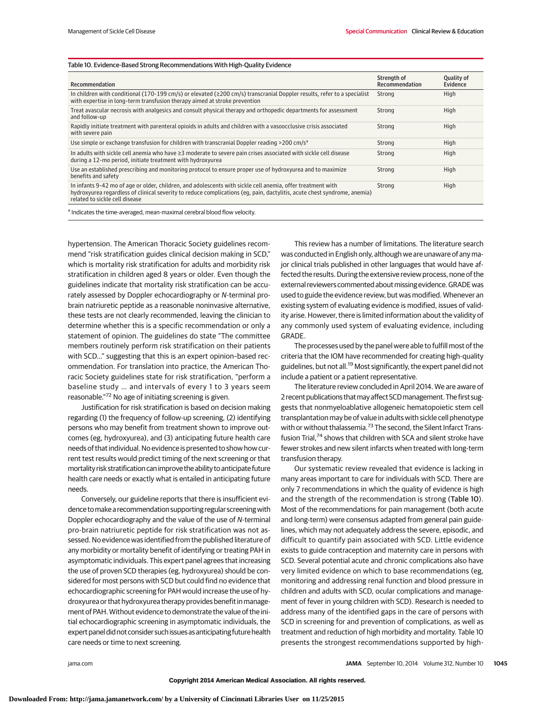| Table 10. Evidence-Based Strong Recommendations With High-Quality Evidence                                                                                                                                                                                                |                               |                        |
|---------------------------------------------------------------------------------------------------------------------------------------------------------------------------------------------------------------------------------------------------------------------------|-------------------------------|------------------------|
| Recommendation                                                                                                                                                                                                                                                            | Strength of<br>Recommendation | Quality of<br>Evidence |
| In children with conditional (170-199 cm/s) or elevated ( $\geq$ 200 cm/s) transcranial Doppler results, refer to a specialist<br>with expertise in long-term transfusion therapy aimed at stroke prevention                                                              | Strong                        | High                   |
| Treat avascular necrosis with analgesics and consult physical therapy and orthopedic departments for assessment<br>and follow-up                                                                                                                                          | Strong                        | High                   |
| Rapidly initiate treatment with parenteral opioids in adults and children with a vasoocclusive crisis associated<br>with severe pain                                                                                                                                      | Strong                        | High                   |
| Use simple or exchange transfusion for children with transcranial Doppler reading >200 cm/s <sup>a</sup>                                                                                                                                                                  | Strong                        | High                   |
| In adults with sickle cell anemia who have ≥3 moderate to severe pain crises associated with sickle cell disease<br>during a 12-mo period, initiate treatment with hydroxyurea                                                                                            | Strong                        | High                   |
| Use an established prescribing and monitoring protocol to ensure proper use of hydroxyurea and to maximize<br>benefits and safety                                                                                                                                         | Strong                        | High                   |
| In infants 9-42 mo of age or older, children, and adolescents with sickle cell anemia, offer treatment with<br>hydroxyurea regardless of clinical severity to reduce complications (eq. pain, dactylitis, acute chest syndrome, anemia)<br>related to sickle cell disease | Strong                        | High                   |
| <sup>a</sup> Indicates the time-averaged, mean-maximal cerebral blood flow velocity.                                                                                                                                                                                      |                               |                        |

hypertension. The American Thoracic Society guidelines recommend "risk stratification guides clinical decision making in SCD," which is mortality risk stratification for adults and morbidity risk stratification in children aged 8 years or older. Even though the guidelines indicate that mortality risk stratification can be accurately assessed by Doppler echocardiography or N-terminal probrain natriuretic peptide as a reasonable noninvasive alternative, these tests are not clearly recommended, leaving the clinician to determine whether this is a specific recommendation or only a statement of opinion. The guidelines do state "The committee members routinely perform risk stratification on their patients with SCD…" suggesting that this is an expert opinion–based recommendation. For translation into practice, the American Thoracic Society guidelines state for risk stratification, "perform a baseline study … and intervals of every 1 to 3 years seem reasonable."<sup>72</sup> No age of initiating screening is given.

Justification for risk stratification is based on decision making regarding (1) the frequency of follow-up screening, (2) identifying persons who may benefit from treatment shown to improve outcomes (eg, hydroxyurea), and (3) anticipating future health care needs of that individual. No evidence is presented to show how current test results would predict timing of the next screening or that mortality risk stratification can improve theability toanticipate future health care needs or exactly what is entailed in anticipating future needs.

Conversely, our guideline reports that there is insufficient evidence tomake a recommendation supporting regular screeningwith Doppler echocardiography and the value of the use of N-terminal pro-brain natriuretic peptide for risk stratification was not assessed. No evidence was identified from the published literature of any morbidity or mortality benefit of identifying or treating PAH in asymptomatic individuals. This expert panel agrees that increasing the use of proven SCD therapies (eg, hydroxyurea) should be considered for most persons with SCD but could find no evidence that echocardiographic screening for PAH would increase the use of hydroxyurea or that hydroxyurea therapy provides benefit in management of PAH.Without evidence to demonstrate the value of the initial echocardiographic screening in asymptomatic individuals, the expert panel did not consider such issues as anticipating future health care needs or time to next screening.

This review has a number of limitations. The literature search was conducted in English only, although we are unaware of any major clinical trials published in other languages that would have affected the results. During the extensive review process, none of the external reviewers commented about missing evidence. GRADE was used to guide the evidence review, but was modified. Whenever an existing system of evaluating evidence is modified, issues of validity arise. However, there is limited information about the validity of any commonly used system of evaluating evidence, including GRADE.

The processes used by the panel were able to fulfill most of the criteria that the IOM have recommended for creating high-quality guidelines, but not all.<sup>19</sup> Most significantly, the expert panel did not include a patient or a patient representative.

The literature review concluded in April 2014. We are aware of 2 recent publications that may affect SCD management. The first suggests that nonmyeloablative allogeneic hematopoietic stem cell transplantation may be of value in adults with sickle cell phenotype with or without thalassemia.<sup>73</sup> The second, the Silent Infarct Transfusion Trial,<sup>74</sup> shows that children with SCA and silent stroke have fewer strokes and new silent infarcts when treated with long-term transfusion therapy.

Our systematic review revealed that evidence is lacking in many areas important to care for individuals with SCD. There are only 7 recommendations in which the quality of evidence is high and the strength of the recommendation is strong (Table 10). Most of the recommendations for pain management (both acute and long-term) were consensus adapted from general pain guidelines, which may not adequately address the severe, episodic, and difficult to quantify pain associated with SCD. Little evidence exists to guide contraception and maternity care in persons with SCD. Several potential acute and chronic complications also have very limited evidence on which to base recommendations (eg, monitoring and addressing renal function and blood pressure in children and adults with SCD, ocular complications and management of fever in young children with SCD). Research is needed to address many of the identified gaps in the care of persons with SCD in screening for and prevention of complications, as well as treatment and reduction of high morbidity and mortality. Table 10 presents the strongest recommendations supported by high-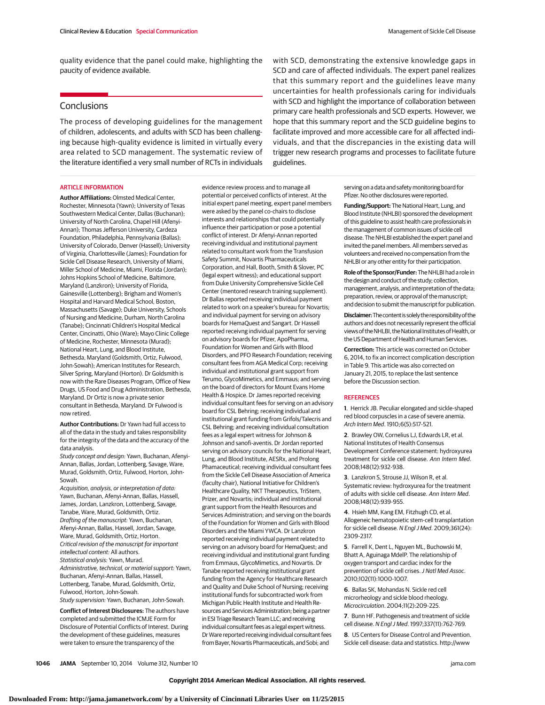quality evidence that the panel could make, highlighting the paucity of evidence available.

## **Conclusions**

The process of developing guidelines for the management of children, adolescents, and adults with SCD has been challenging because high-quality evidence is limited in virtually every area related to SCD management. The systematic review of the literature identified a very small number of RCTs in individuals

#### ARTICLE INFORMATION

**Author Affiliations:** Olmsted Medical Center, Rochester, Minnesota (Yawn); University of Texas Southwestern Medical Center, Dallas (Buchanan); University of North Carolina, Chapel Hill (Afenyi-Annan); Thomas Jefferson University, Cardeza Foundation, Philadelphia, Pennsylvania (Ballas); University of Colorado, Denver (Hassell); University of Virginia, Charlottesville (James); Foundation for Sickle Cell Disease Research, University of Miami, Miller School of Medicine, Miami, Florida (Jordan); Johns Hopkins School of Medicine, Baltimore, Maryland (Lanzkron); University of Florida, Gainesville (Lottenberg); Brigham and Women's Hospital and Harvard Medical School, Boston, Massachusetts (Savage); Duke University, Schools of Nursing and Medicine, Durham, North Carolina (Tanabe); Cincinnati Children's Hospital Medical Center, Cincinatti, Ohio (Ware); Mayo Clinic College of Medicine, Rochester, Minnesota (Murad); National Heart, Lung, and Blood Institute, Bethesda, Maryland (Goldsmith, Ortiz, Fulwood, John-Sowah); American Institutes for Research, Silver Spring, Maryland (Horton). Dr Goldsmith is now with the Rare Diseases Program, Office of New Drugs, US Food and Drug Administration, Bethesda, Maryland. Dr Ortiz is now a private senior consultant in Bethesda, Maryland. Dr Fulwood is now retired.

**Author Contributions:** Dr Yawn had full access to all of the data in the study and takes responsibility for the integrity of the data and the accuracy of the data analysis.

Study concept and design: Yawn, Buchanan, Afenyi-Annan, Ballas, Jordan, Lottenberg, Savage, Ware, Murad, Goldsmith, Ortiz, Fulwood, Horton, John-Sowah.

Acquisition, analysis, or interpretation of data: Yawn, Buchanan, Afenyi-Annan, Ballas, Hassell, James, Jordan, Lanzkron, Lottenberg, Savage, Tanabe, Ware, Murad, Goldsmith, Ortiz. Drafting of the manuscript: Yawn, Buchanan, Afenyi-Annan, Ballas, Hassell, Jordan, Savage, Ware, Murad, Goldsmith, Ortiz, Horton. Critical revision of the manuscript for important intellectual content: All authors. Statistical analysis: Yawn, Murad. Administrative, technical, or material support: Yawn, Buchanan, Afenyi-Annan, Ballas, Hassell, Lottenberg, Tanabe, Murad, Goldsmith, Ortiz, Fulwood, Horton, John-Sowah. Study supervision: Yawn, Buchanan, John-Sowah.

**Conflict of Interest Disclosures:** The authors have completed and submitted the ICMJE Form for Disclosure of Potential Conflicts of Interest. During the development of these guidelines, measures were taken to ensure the transparency of the

evidence review process and to manage all potential or perceived conflicts of interest. At the initial expert panel meeting, expert panel members were asked by the panel co-chairs to disclose interests and relationships that could potentially influence their participation or pose a potential conflict of interest. Dr Afenyi-Annan reported receiving individual and institutional payment related to consultant work from the Transfusion Safety Summit, Novartis Pharmaceuticals Corporation, and Hall, Booth, Smith & Slover, PC (legal expert witness); and educational support from Duke University Comprehensive Sickle Cell Center (mentored research training supplement). Dr Ballas reported receiving individual payment related to work on a speaker's bureau for Novartis; and individual payment for serving on advisory boards for HemaQuest and Sangart. Dr Hassell reported receivng individual payment for serving on advisory boards for Pfizer, ApoPharma, Foundation for Women and Girls with Blood Disorders, and PFO Research Foundation; receiving consultant fees from AGA Medical Corp; receiving individual and institutional grant support from Terumo, GlycoMimetics, and Emmaus; and serving on the board of directors for Mount Evans Home Health & Hospice. Dr James reported receiving individual consultant fees for serving on an advisory board for CSL Behring; receiving individual and institutional grant funding from Grifols/Talecris and CSL Behring; and receiving individual consultation fees as a legal expert witness for Johnson & Johnson and sanofi-aventis. Dr Jordan reported serving on advisory councils for the National Heart, Lung, and Blood Institute, AESRx, and Prolong Phamaceutical; receiving individual consultant fees from the Sickle Cell Disease Association of America (faculty chair), National Initiative for Children's Healthcare Quality, NKT Therapeutics, TriStem, Prizer, and Novartis; individual and institutional grant support from the Health Resources and Services Administration; and serving on the boards of the Foundation for Women and Girls with Blood Disorders and the Miami YWCA. Dr Lanzkron reported receiving individual payment related to serving on an advisory board for HemaQuest; and receiving individual and institutional grant funding from Emmaus, GlycoMimetics, and Novartis. Dr Tanabe reported receiving institutional grant funding from the Agency for Healthcare Research and Quality and Duke School of Nursing; receiving institutional funds for subcontracted work from Michigan Public Health Institute and Health Resources and Services Administration; being a partner in ESI Triage Research Team LLC; and receiving individual consultant fees as a legal expert witness. Dr Ware reported receiving individual consultant fees

with SCD, demonstrating the extensive knowledge gaps in SCD and care of affected individuals. The expert panel realizes that this summary report and the guidelines leave many uncertainties for health professionals caring for individuals with SCD and highlight the importance of collaboration between primary care health professionals and SCD experts. However, we hope that this summary report and the SCD guideline begins to facilitate improved and more accessible care for all affected individuals, and that the discrepancies in the existing data will trigger new research programs and processes to facilitate future guidelines.

> serving on a data and safety monitoring board for Pfizer. No other disclosures were reported.

**Funding/Support:** The National Heart, Lung, and Blood Institute (NHLBI) sponsored the development of this guideline to assist health care professionals in the management of common issues of sickle cell disease. The NHLBI established the expert panel and invited the panel members. All members served as volunteers and received no compensation from the NHLBI or any other entity for their participation.

**Role of the Sponsor/Funder:** The NHLBI had a role in the design and conduct of the study; collection, management, analysis, and interpretation of the data; preparation, review, or approval of the manuscript; and decision to submit the manuscript for publication.

**Disclaimer:**Thecontentissolely the responsibilityof the authors and does not necessarily represent the official views of the NHLBI, the National Institutes of Health, or the US Department of Health and Human Services.

**Correction:** This article was corrected on October 6, 2014, to fix an incorrect complication description in Table 9. This article was also corrected on January 21, 2015, to replace the last sentence before the Discussion section.

#### **REFERENCES**

**1**. Herrick JB. Peculiar elongated and sickle-shaped red blood corpuscles in a case of severe anemia. Arch Intern Med. 1910;6(5):517-521.

**2**. Brawley OW, Cornelius LJ, Edwards LR, et al. National Institutes of Health Consensus Development Conference statement: hydroxyurea treatment for sickle cell disease. Ann Intern Med. 2008;148(12):932-938.

**3**. Lanzkron S, Strouse JJ, Wilson R, et al. Systematic review: hydroxyurea for the treatment of adults with sickle cell disease. Ann Intern Med. 2008;148(12):939-955.

**4**. Hsieh MM, Kang EM, Fitzhugh CD, et al. Allogeneic hematopoietic stem-cell transplantation for sickle cell disease. N Engl J Med. 2009;361(24): 2309-2317.

**5**. Farrell K, Dent L, Nguyen ML, Buchowski M, Bhatt A, Aguinaga MdelP. The relationship of oxygen transport and cardiac index for the prevention of sickle cell crises.J Natl Med Assoc. 2010;102(11):1000-1007.

**6**. Ballas SK, Mohandas N. Sickle red cell microrheology and sickle blood rheology. Microcirculation. 2004;11(2):209-225.

**7**. Bunn HF. Pathogenesis and treatment of sickle cell disease. N Engl J Med. 1997;337(11):762-769.

**8**. US Centers for Disease Control and Prevention. Sickle cell disease: data and statistics. http://www

from Bayer, Novartis Pharmaceuticals, and Sobi; and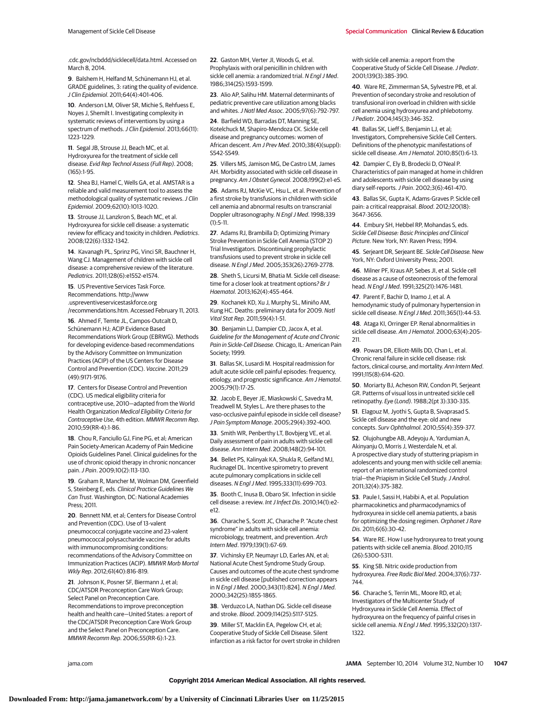.cdc.gov/ncbddd/sicklecell/data.html. Accessed on March 8, 2014.

**9**. Balshem H, Helfand M, Schünemann HJ, et al. GRADE guidelines, 3: rating the quality of evidence. J Clin Epidemiol. 2011;64(4):401-406.

**10**. Anderson LM, Oliver SR, Michie S, Rehfuess E, Noyes J, Shemilt I. Investigating complexity in systematic reviews of interventions by using a spectrum of methods. J Clin Epidemiol. 2013;66(11): 1223-1229.

**11**. Segal JB, Strouse JJ, Beach MC, et al. Hydroxyurea for the treatment of sickle cell disease. Evid Rep Technol Assess (Full Rep). 2008; (165):1-95.

**12**. Shea BJ, Hamel C, Wells GA, et al. AMSTAR is a reliable and valid measurement tool to assess the methodological quality of systematic reviews. J Clin Epidemiol. 2009;62(10):1013-1020.

**13**. Strouse JJ, Lanzkron S, Beach MC, et al. Hydroxyurea for sickle cell disease: a systematic review for efficacy and toxicity in children. Pediatrics. 2008;122(6):1332-1342.

**14**. Kavanagh PL, Sprinz PG, Vinci SR, Bauchner H, Wang CJ. Management of children with sickle cell disease: a comprehensive review of the literature. Pediatrics. 2011;128(6):e1552-e1574.

**15**. US Preventive Services Task Force. Recommendations. http://www .uspreventiveservicestaskforce.org /recommendations.htm. Accessed February 11, 2013.

**16**. Ahmed F, Temte JL, Campos-Outcalt D, Schünemann HJ; ACIP Evidence Based Recommendations Work Group (EBRWG). Methods for developing evidence-based recommendations by the Advisory Committee on Immunization Practices (ACIP) of the US Centers for Disease Control and Prevention (CDC). Vaccine. 2011;29 (49):9171-9176.

**17**. Centers for Disease Control and Prevention (CDC). US medical eligibility criteria for contraceptive use, 2010—adapted from the World Health Organization Medical Eligibility Criteria for Contraceptive Use, 4th edition. MMWR Recomm Rep. 2010;59(RR-4):1-86.

**18**. Chou R, Fanciullo GJ, Fine PG, et al; American Pain Society-American Academy of Pain Medicine Opioids Guidelines Panel. Clinical guidelines for the use of chronic opioid therapy in chronic noncancer pain.J Pain. 2009;10(2):113-130.

**19**. Graham R, Mancher M, Wolman DM, Greenfield S, Steinberg E, eds. Clinical Practice Guidelines We Can Trust. Washington, DC: National Academies Press; 2011.

**20**. Bennett NM, et al; Centers for Disease Control and Prevention (CDC). Use of 13-valent pneumococcal conjugate vaccine and 23-valent pneumococcal polysaccharide vaccine for adults with immunocompromising conditions: recommendations of the Advisory Committee on Immunization Practices (ACIP). MMWR Morb Mortal Wkly Rep. 2012;61(40):816-819.

**21**. Johnson K, Posner SF, Biermann J, et al; CDC/ATSDR Preconception Care Work Group; Select Panel on Preconception Care. Recommendations to improve preconception health and health care—United States: a report of the CDC/ATSDR Preconception Care Work Group and the Select Panel on Preconception Care. MMWR Recomm Rep. 2006;55(RR-6):1-23.

**22**. Gaston MH, Verter JI, Woods G, et al. Prophylaxis with oral penicillin in children with sickle cell anemia: a randomized trial. N Engl J Med. 1986;314(25):1593-1599.

**23**. Alio AP, Salihu HM. Maternal determinants of pediatric preventive care utilization among blacks and whites.J Natl Med Assoc. 2005;97(6):792-797.

**24**. Barfield WD, Barradas DT, Manning SE, Kotelchuck M, Shapiro-Mendoza CK. Sickle cell disease and pregnancy outcomes: women of African descent. Am J Prev Med. 2010;38(4)(suppl): S542-S549.

**25**. Villers MS, Jamison MG, De Castro LM, James AH. Morbidity associated with sickle cell disease in pregnancy. Am J Obstet Gynecol. 2008;199(2):e1-e5.

**26**. Adams RJ, McKie VC, Hsu L, et al. Prevention of a first stroke by transfusions in children with sickle cell anemia and abnormal results on transcranial Doppler ultrasonography. N Engl J Med. 1998;339  $(1):$ 5-11.

**27**. Adams RJ, Brambilla D; Optimizing Primary Stroke Prevention in Sickle Cell Anemia (STOP 2) Trial Investigators. Discontinuing prophylactic transfusions used to prevent stroke in sickle cell disease. N Engl J Med. 2005;353(26):2769-2778.

**28**. Sheth S, Licursi M, Bhatia M. Sickle cell disease: time for a closer look at treatment options? Br J Haematol. 2013;162(4):455-464.

**29**. Kochanek KD, Xu J, Murphy SL, Miniño AM, Kung HC. Deaths: preliminary data for 2009. Natl Vital Stat Rep. 2011;59(4):1-51.

**30**. Benjamin LJ, Dampier CD, Jacox A, et al. Guideline for the Management of Acute and Chronic Pain in Sickle-Cell Disease. Chicago, IL: American Pain Society; 1999.

**31**. Ballas SK, Lusardi M. Hospital readmission for adult acute sickle cell painful episodes: frequency, etiology, and prognostic significance. Am J Hematol. 2005;79(1):17-25.

**32**. Jacob E, Beyer JE, Miaskowski C, Savedra M, Treadwell M, Styles L. Are there phases to the vaso-occlusive painful episode in sickle cell disease? J Pain Symptom Manage. 2005;29(4):392-400.

**33**. Smith WR, Penberthy LT, Bovbjerg VE, et al. Daily assessment of pain in adults with sickle cell disease. Ann Intern Med. 2008;148(2):94-101.

**34**. Bellet PS, Kalinyak KA, Shukla R, Gelfand MJ, Rucknagel DL. Incentive spirometry to prevent acute pulmonary complications in sickle cell diseases. N Engl J Med. 1995;333(11):699-703.

**35**. Booth C, Inusa B, Obaro SK. Infection in sickle cell disease: a review. Int J Infect Dis. 2010;14(1):e2 e12.

**36**. Charache S, Scott JC, Charache P. "Acute chest syndrome" in adults with sickle cell anemia: microbiology, treatment, and prevention. Arch Intern Med. 1979;139(1):67-69.

**37**. Vichinsky EP, Neumayr LD, Earles AN, et al; National Acute Chest Syndrome Study Group. Causes and outcomes of the acute chest syndrome in sickle cell disease [published correction appears in N Engl J Med. 2000;343(11):824]. N Engl J Med. 2000;342(25):1855-1865.

**38**. Verduzco LA, Nathan DG. Sickle cell disease and stroke. Blood. 2009;114(25):5117-5125.

**39**. Miller ST, Macklin EA, Pegelow CH, et al; Cooperative Study of Sickle Cell Disease. Silent infarction as a risk factor for overt stroke in children with sickle cell anemia: a report from the Cooperative Study of Sickle Cell Disease. J Pediatr. 2001;139(3):385-390.

**40**. Ware RE, Zimmerman SA, Sylvestre PB, et al. Prevention of secondary stroke and resolution of transfusional iron overload in children with sickle cell anemia using hydroxyurea and phlebotomy. J Pediatr. 2004;145(3):346-352.

**41**. Ballas SK, Lieff S, Benjamin LJ, et al; Investigators, Comprehensive Sickle Cell Centers. Definitions of the phenotypic manifestations of sickle cell disease. Am J Hematol. 2010;85(1):6-13.

**42**. Dampier C, Ely B, Brodecki D, O'Neal P. Characteristics of pain managed at home in children and adolescents with sickle cell disease by using diary self-reports.J Pain. 2002;3(6):461-470.

**43**. Ballas SK, Gupta K, Adams-Graves P. Sickle cell pain: a critical reappraisal. Blood. 2012;120(18): 3647-3656.

**44**. Embury SH, Hebbel RP, Mohandas S, eds. Sickle Cell Disease: Basic Principles and Clinical Picture. New York, NY: Raven Press; 1994.

45. Serjeant DR, Serjeant BE. Sickle Cell Disease. New York, NY: Oxford University Press; 2001.

**46**. Milner PF, Kraus AP, Sebes JI, et al. Sickle cell disease as a cause of osteonecrosis of the femoral head. N Engl J Med. 1991;325(21):1476-1481.

**47**. Parent F, Bachir D, Inamo J, et al. A hemodynamic study of pulmonary hypertension in sickle cell disease. N Engl J Med. 2011;365(1):44-53.

**48**. Ataga KI, Orringer EP. Renal abnormalities in sickle cell disease. Am J Hematol. 2000;63(4):205- 211.

**49**. Powars DR, Elliott-Mills DD, Chan L, et al. Chronic renal failure in sickle cell disease: risk factors, clinical course, and mortality. Ann Intern Med. 1991;115(8):614-620.

**50**. Moriarty BJ, Acheson RW, Condon PI, Serjeant GR. Patterns of visual loss in untreated sickle cell retinopathy. Eye (Lond). 1988;2(pt 3):330-335.

**51**. Elagouz M, Jyothi S, Gupta B, Sivaprasad S. Sickle cell disease and the eye: old and new concepts. Surv Ophthalmol. 2010;55(4):359-377.

**52**. Olujohungbe AB, Adeyoju A, Yardumian A, Akinyanju O, Morris J, Westerdale N, et al. A prospective diary study of stuttering priapism in adolescents and young men with sickle cell anemia: report of an international randomized control trial-the Priapism in Sickle Cell Study. J Androl. 2011;32(4):375-382.

**53**. Paule I, Sassi H, Habibi A, et al. Population pharmacokinetics and pharmacodynamics of hydroxyurea in sickle cell anemia patients, a basis for optimizing the dosing regimen. Orphanet J Rare Dis. 2011;6(6):30-42.

**54**. Ware RE. How I use hydroxyurea to treat young patients with sickle cell anemia. Blood. 2010;115 (26):5300-5311.

**55**. King SB. Nitric oxide production from hydroxyurea. Free Radic Biol Med. 2004;37(6):737- 744.

**56**. Charache S, Terrin ML, Moore RD, et al; Investigators of the Multicenter Study of Hydroxyurea in Sickle Cell Anemia. Effect of hydroxyurea on the frequency of painful crises in sickle cell anemia. N Engl J Med. 1995;332(20):1317-1322.